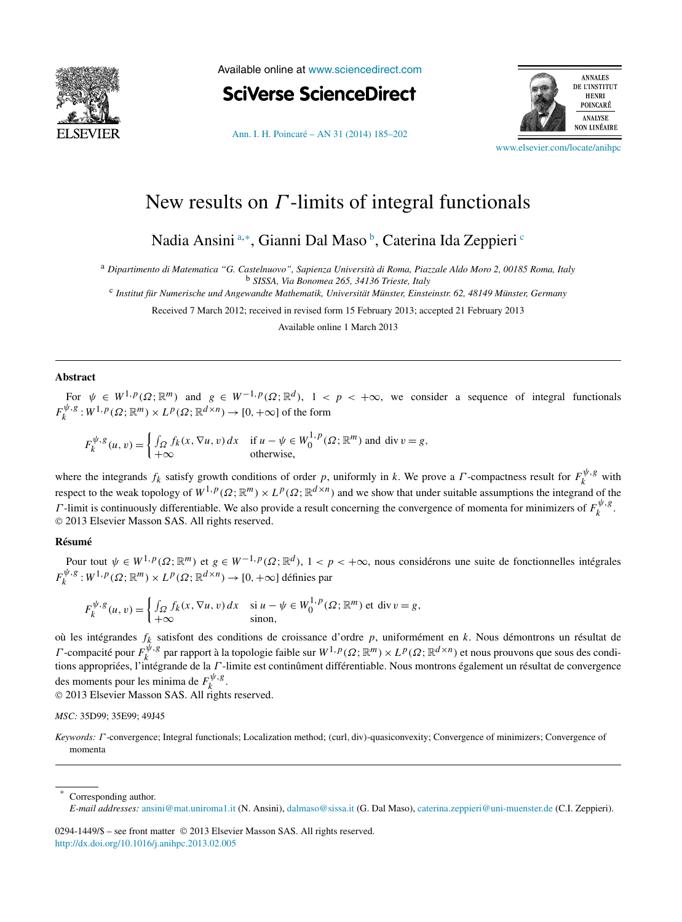

Available online at [www.sciencedirect.com](http://www.sciencedirect.com)

**SciVerse ScienceDirect** 



[Ann. I. H. Poincaré – AN 31 \(2014\) 185–202](http://dx.doi.org/10.1016/j.anihpc.2013.02.005)

[www.elsevier.com/locate/anihpc](http://www.elsevier.com/locate/anihpc)

# New results on *Γ* -limits of integral functionals

Nadia Ansini<sup>a,∗</sup>, Gianni Dal Maso <sup>b</sup>, Caterina Ida Zeppieri <sup>c</sup>

<sup>a</sup> *Dipartimento di Matematica "G. Castelnuovo", Sapienza Università di Roma, Piazzale Aldo Moro 2, 00185 Roma, Italy*

<sup>b</sup> *SISSA, Via Bonomea 265, 34136 Trieste, Italy*

<sup>c</sup> *Institut für Numerische und Angewandte Mathematik, Universität Münster, Einsteinstr. 62, 48149 Münster, Germany*

Received 7 March 2012; received in revised form 15 February 2013; accepted 21 February 2013

Available online 1 March 2013

## **Abstract**

For  $\psi \in W^{1,p}(\Omega;\mathbb{R}^m)$  and  $g \in W^{-1,p}(\Omega;\mathbb{R}^d)$ ,  $1 < p < +\infty$ , we consider a sequence of integral functionals  $F_k^{\psi, g}: W^{1, p}(\Omega; \mathbb{R}^m) \times L^p(\Omega; \mathbb{R}^{d \times n}) \to [0, +\infty]$  of the form

 $F_k^{\psi, g}(u, v) = \begin{cases} \int_{\Omega} f_k(x, \nabla u, v) dx & \text{if } u - \psi \in W_0^{1, p}(\Omega; \mathbb{R}^m) \text{ and } \text{div } v = g, \\ +\infty & \text{otherwise,} \end{cases}$ 

where the integrands  $f_k$  satisfy growth conditions of order *p*, uniformly in *k*. We prove a *Γ*-compactness result for  $F_k^{\psi, g}$  with respect to the weak topology of  $W^{1,p}(\Omega;\mathbb{R}^m)\times L^p(\Omega;\mathbb{R}^{d\times n})$  and we show that under suitable assumptions the integrand of the *Γ*-limit is continuously differentiable. We also provide a result concerning the convergence of momenta for minimizers of  $F_k^{\psi, g}$ . © 2013 Elsevier Masson SAS. All rights reserved.

## **Résumé**

Pour tout  $\psi \in W^{1,p}(\Omega;\mathbb{R}^m)$  et  $g \in W^{-1,p}(\Omega;\mathbb{R}^d)$ ,  $1 < p < +\infty$ , nous considérons une suite de fonctionnelles intégrales  $F_k^{\psi, g}: W^{1, p}(\Omega; \mathbb{R}^m) \times L^p(\Omega; \mathbb{R}^{d \times n}) \to [0, +\infty]$  définies par

$$
F_k^{\psi,g}(u,v) = \begin{cases} \int_{\Omega} f_k(x, \nabla u, v) dx & \text{si } u - \psi \in W_0^{1,p}(\Omega; \mathbb{R}^m) \text{ et } \text{div } v = g, \\ +\infty & \text{sinon,} \end{cases}
$$

où les intégrandes *fk* satisfont des conditions de croissance d'ordre *p*, uniformément en *k*. Nous démontrons un résultat de *Γ* -compacité pour  $F_k^{\psi, g}$  par rapport à la topologie faible sur  $W^{1,p}(\Omega; \mathbb{R}^m) \times L^p(\Omega; \mathbb{R}^{d \times n})$  et nous prouvons que sous des conditions appropriées, l'intégrande de la *Γ* -limite est continûment différentiable. Nous montrons également un résultat de convergence des moments pour les minima de  $F_k^{\psi, g}$ .

© 2013 Elsevier Masson SAS. All rights reserved.

## *MSC:* 35D99; 35E99; 49J45

*Keywords: Γ* -convergence; Integral functionals; Localization method; *(*curl*,* div*)*-quasiconvexity; Convergence of minimizers; Convergence of momenta

Corresponding author.

0294-1449/\$ – see front matter © 2013 Elsevier Masson SAS. All rights reserved. <http://dx.doi.org/10.1016/j.anihpc.2013.02.005>

*E-mail addresses:* [ansini@mat.uniroma1.it](mailto:ansini@mat.uniroma1.it) (N. Ansini), [dalmaso@sissa.it](mailto:dalmaso@sissa.it) (G. Dal Maso), [caterina.zeppieri@uni-muenster.de](mailto:caterina.zeppieri@uni-muenster.de) (C.I. Zeppieri).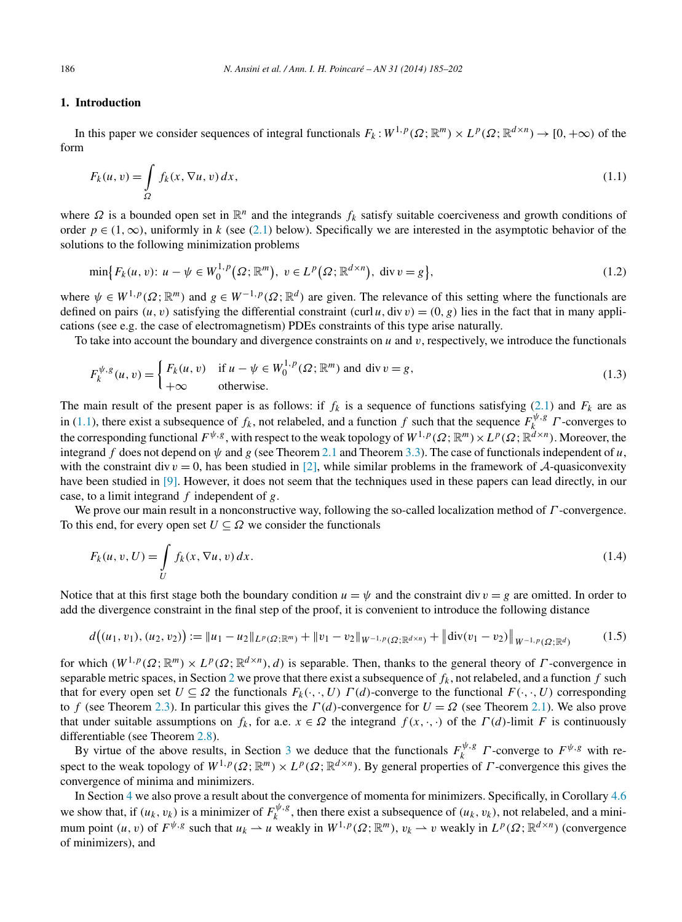## <span id="page-1-0"></span>**1. Introduction**

In this paper we consider sequences of integral functionals  $F_k : W^{1,p}(\Omega; \mathbb{R}^m) \times L^p(\Omega; \mathbb{R}^{d \times n}) \to [0, +\infty)$  of the form

$$
F_k(u, v) = \int_{\Omega} f_k(x, \nabla u, v) dx,
$$
\n(1.1)

where *Ω* is a bounded open set in  $\mathbb{R}^n$  and the integrands *f<sub>k</sub>* satisfy suitable coerciveness and growth conditions of order  $p \in (1, \infty)$ , uniformly in *k* (see [\(2.1\)](#page-2-0) below). Specifically we are interested in the asymptotic behavior of the solutions to the following minimization problems

$$
\min\{F_k(u,v)\colon u-\psi\in W_0^{1,p}(\Omega; \mathbb{R}^m), \ v\in L^p(\Omega; \mathbb{R}^{d\times n}), \ \text{div}\, v=g\},\tag{1.2}
$$

where  $\psi \in W^{1,p}(\Omega;\mathbb{R}^m)$  and  $g \in W^{-1,p}(\Omega;\mathbb{R}^d)$  are given. The relevance of this setting where the functionals are defined on pairs  $(u, v)$  satisfying the differential constraint  $(curl u, div v) = (0, g)$  lies in the fact that in many applications (see e.g. the case of electromagnetism) PDEs constraints of this type arise naturally.

To take into account the boundary and divergence constraints on *u* and *v*, respectively, we introduce the functionals

$$
F_k^{\psi,g}(u,v) = \begin{cases} F_k(u,v) & \text{if } u - \psi \in W_0^{1,p}(\Omega; \mathbb{R}^m) \text{ and } \text{div } v = g, \\ +\infty & \text{otherwise.} \end{cases}
$$
(1.3)

The main result of the present paper is as follows: if  $f_k$  is a sequence of functions satisfying [\(2.1\)](#page-2-0) and  $F_k$  are as in (1.1), there exist a subsequence of  $f_k$ , not relabeled, and a function  $f$  such that the sequence  $F_k^{\psi, g}$   $\Gamma$ -converges to the corresponding functional  $F^{\psi,g}$ , with respect to the weak topology of  $W^{1,p}(\Omega;\mathbb{R}^m)\times L^p(\Omega;\mathbb{R}^{d\times n})$ . Moreover, the integrand *f* does not depend on  $\psi$  and *g* (see Theorem [2.1](#page-2-0) and Theorem [3.3\)](#page-10-0). The case of functionals independent of *u*, with the constraint div  $v = 0$ , has been studied in [\[2\],](#page-16-0) while similar problems in the framework of A-quasiconvexity have been studied in [\[9\].](#page-17-0) However, it does not seem that the techniques used in these papers can lead directly, in our case, to a limit integrand *f* independent of *g*.

We prove our main result in a nonconstructive way, following the so-called localization method of *Γ* -convergence. To this end, for every open set  $U \subseteq \Omega$  we consider the functionals

$$
F_k(u, v, U) = \int\limits_U f_k(x, \nabla u, v) dx.
$$
\n(1.4)

Notice that at this first stage both the boundary condition  $u = \psi$  and the constraint div  $v = g$  are omitted. In order to add the divergence constraint in the final step of the proof, it is convenient to introduce the following distance

$$
d((u_1, v_1), (u_2, v_2)) := \|u_1 - u_2\|_{L^p(\Omega; \mathbb{R}^m)} + \|v_1 - v_2\|_{W^{-1,p}(\Omega; \mathbb{R}^{d \times n})} + \left\| \text{div}(v_1 - v_2) \right\|_{W^{-1,p}(\Omega; \mathbb{R}^d)} \tag{1.5}
$$

for which  $(W^{1,p}(\Omega;\mathbb{R}^m) \times L^p(\Omega;\mathbb{R}^{d \times n}),d)$  is separable. Then, thanks to the general theory of *Γ*-convergence in separable metric spaces, in Section [2](#page-2-0) we prove that there exist a subsequence of  $f_k$ , not relabeled, and a function  $f$  such that for every open set  $U \subseteq \Omega$  the functionals  $F_k(\cdot, \cdot, U) \cap (d)$ -converge to the functional  $F(\cdot, \cdot, U)$  corresponding to *f* (see Theorem [2.3\)](#page-3-0). In particular this gives the  $\Gamma(d)$ -convergence for  $U = \Omega$  (see Theorem [2.1\)](#page-2-0). We also prove that under suitable assumptions on  $f_k$ , for a.e.  $x \in \Omega$  the integrand  $f(x, \cdot, \cdot)$  of the  $\Gamma(d)$ -limit *F* is continuously differentiable (see Theorem [2.8\)](#page-8-0).

By virtue of the above results, in Section [3](#page-9-0) we deduce that the functionals  $F_k^{\psi, g}$  *Γ*-converge to  $F^{\psi, g}$  with respect to the weak topology of  $W^{1,p}(\Omega;\mathbb{R}^m) \times L^p(\Omega;\mathbb{R}^{d \times n})$ . By general properties of *Γ*-convergence this gives the convergence of minima and minimizers.

In Section [4](#page-12-0) we also prove a result about the convergence of momenta for minimizers. Specifically, in Corollary [4.6](#page-16-0) we show that, if  $(u_k, v_k)$  is a minimizer of  $F_k^{\psi, g}$ , then there exist a subsequence of  $(u_k, v_k)$ , not relabeled, and a minimum point  $(u, v)$  of  $F^{\psi, g}$  such that  $u_k \to u$  weakly in  $W^{1, p}(\Omega; \mathbb{R}^m)$ ,  $v_k \to v$  weakly in  $L^p(\Omega; \mathbb{R}^{d \times n})$  (convergence of minimizers), and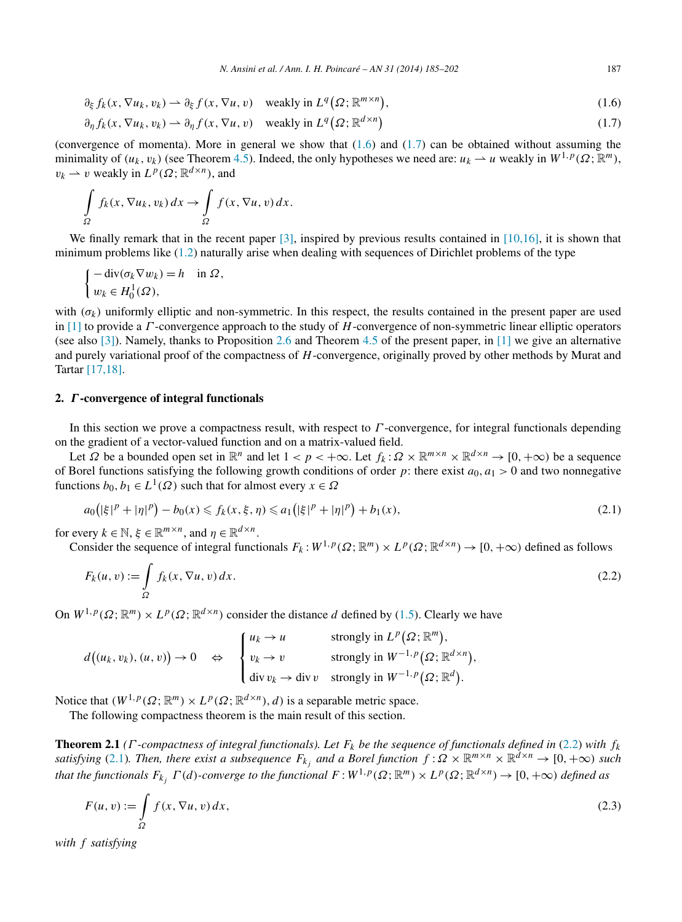<span id="page-2-0"></span>
$$
\partial_{\xi} f_k(x, \nabla u_k, v_k) \rightharpoonup \partial_{\xi} f(x, \nabla u, v) \quad \text{weakly in } L^q(\Omega; \mathbb{R}^{m \times n}), \tag{1.6}
$$

$$
\partial_{\eta} f_k(x, \nabla u_k, v_k) \rightharpoonup \partial_{\eta} f(x, \nabla u, v) \quad \text{weakly in } L^q(\Omega; \mathbb{R}^{d \times n})
$$
\n(1.7)

(convergence of momenta). More in general we show that  $(1.6)$  and  $(1.7)$  can be obtained without assuming the minimality of  $(u_k, v_k)$  (see Theorem [4.5\)](#page-15-0). Indeed, the only hypotheses we need are:  $u_k \to u$  weakly in  $W^{1,p}(\Omega; \mathbb{R}^m)$ ,  $v_k \rightharpoonup v$  weakly in  $L^p(\Omega; \mathbb{R}^{d \times n})$ , and

$$
\int_{\Omega} f_k(x, \nabla u_k, v_k) dx \to \int_{\Omega} f(x, \nabla u, v) dx.
$$

We finally remark that in the recent paper  $\lceil 3 \rceil$ , inspired by previous results contained in  $\lceil 10, 16 \rceil$ , it is shown that minimum problems like [\(1.2\)](#page-1-0) naturally arise when dealing with sequences of Dirichlet problems of the type

$$
\begin{cases}\n-\operatorname{div}(\sigma_k \nabla w_k) = h & \text{in } \Omega, \\
w_k \in H_0^1(\Omega),\n\end{cases}
$$

with  $(\sigma_k)$  uniformly elliptic and non-symmetric. In this respect, the results contained in the present paper are used in [\[1\]](#page-16-0) to provide a *Γ* -convergence approach to the study of *H*-convergence of non-symmetric linear elliptic operators (see also [\[3\]\)](#page-16-0). Namely, thanks to Proposition [2.6](#page-7-0) and Theorem [4.5](#page-15-0) of the present paper, in [\[1\]](#page-16-0) we give an alternative and purely variational proof of the compactness of *H*-convergence, originally proved by other methods by Murat and Tartar [\[17,18\].](#page-17-0)

## **2.** *Γ* **-convergence of integral functionals**

In this section we prove a compactness result, with respect to *Γ* -convergence, for integral functionals depending on the gradient of a vector-valued function and on a matrix-valued field.

Let  $\Omega$  be a bounded open set in  $\mathbb{R}^n$  and let  $1 < p < +\infty$ . Let  $f_k : \Omega \times \mathbb{R}^{m \times n} \times \mathbb{R}^{d \times n} \to [0, +\infty)$  be a sequence of Borel functions satisfying the following growth conditions of order *p*: there exist  $a_0$ ,  $a_1 > 0$  and two nonnegative functions  $b_0, b_1 \in L^1(\Omega)$  such that for almost every  $x \in \Omega$ 

$$
a_0(|\xi|^p + |\eta|^p) - b_0(x) \le f_k(x, \xi, \eta) \le a_1(|\xi|^p + |\eta|^p) + b_1(x),\tag{2.1}
$$

for every  $k \in \mathbb{N}$ ,  $\xi \in \mathbb{R}^{m \times n}$ , and  $\eta \in \mathbb{R}^{d \times n}$ .

Consider the sequence of integral functionals  $F_k : W^{1,p}(\Omega;\mathbb{R}^m) \times L^p(\Omega;\mathbb{R}^{d \times n}) \to [0,+\infty)$  defined as follows

$$
F_k(u, v) := \int_{\Omega} f_k(x, \nabla u, v) dx.
$$
\n(2.2)

On  $W^{1,p}(\Omega;\mathbb{R}^m) \times L^p(\Omega;\mathbb{R}^{d \times n})$  consider the distance *d* defined by [\(1.5\)](#page-1-0). Clearly we have

$$
d\big((u_k, v_k), (u, v)\big) \to 0 \quad \Leftrightarrow \quad \begin{cases} u_k \to u & \text{strongly in } L^p\big(\Omega; \mathbb{R}^m\big), \\ v_k \to v & \text{strongly in } W^{-1,p}\big(\Omega; \mathbb{R}^{d \times n}\big), \\ \text{div } v_k \to \text{div } v & \text{strongly in } W^{-1,p}\big(\Omega; \mathbb{R}^d\big). \end{cases}
$$

Notice that  $(W^{1,p}(\Omega;\mathbb{R}^m) \times L^p(\Omega;\mathbb{R}^{d \times n}), d)$  is a separable metric space.

The following compactness theorem is the main result of this section.

**Theorem 2.1** *(* $\Gamma$ *-compactness of integral functionals). Let*  $F_k$  *be the sequence of functionals defined in* (2.2) *with*  $f_k$ *satisfying* (2.1)*. Then, there exist a subsequence*  $F_{k_j}$  *and a Borel function*  $f : \Omega \times \mathbb{R}^{m \times n} \times \mathbb{R}^{d \times n} \to [0, +\infty)$  *such that the functionals*  $F_{k_j}$   $\Gamma(d)$ *-converge to the functional*  $F: W^{1,p}(\Omega;\mathbb{R}^m) \times L^p(\Omega;\mathbb{R}^{d \times n}) \to [0, +\infty)$  *defined as* 

$$
F(u, v) := \int_{\Omega} f(x, \nabla u, v) dx,
$$
\n(2.3)

*with f satisfying*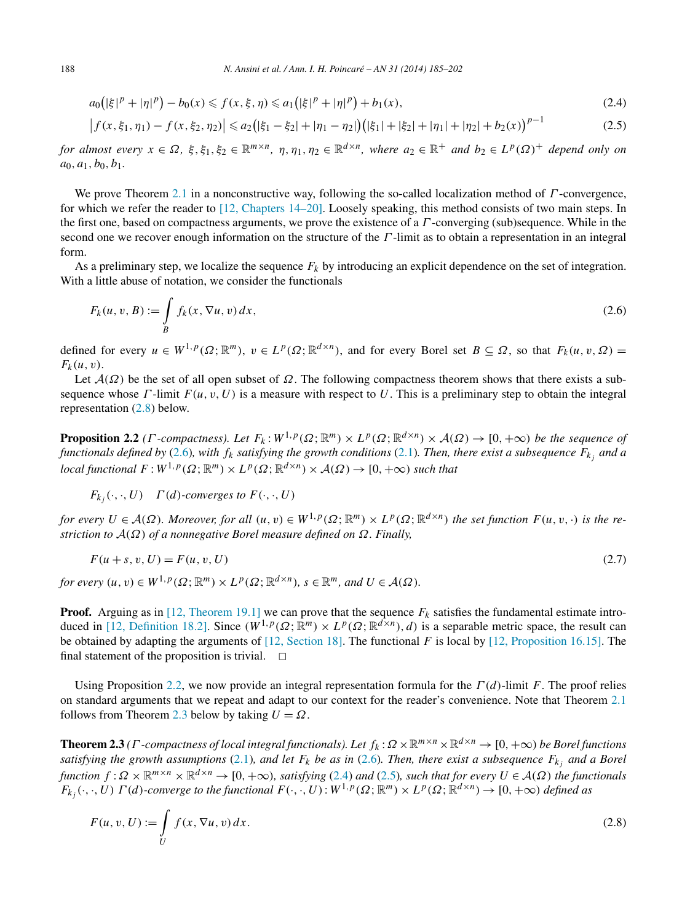<span id="page-3-0"></span>
$$
a_0(|\xi|^p + |\eta|^p) - b_0(x) \leq f(x, \xi, \eta) \leq a_1(|\xi|^p + |\eta|^p) + b_1(x),\tag{2.4}
$$

$$
\left| f(x,\xi_1,\eta_1) - f(x,\xi_2,\eta_2) \right| \le a_2 \left( |\xi_1 - \xi_2| + |\eta_1 - \eta_2| \right) \left( |\xi_1| + |\xi_2| + |\eta_1| + |\eta_2| + b_2(x) \right)^{p-1}
$$
\n(2.5)

for almost every  $x \in \Omega$ ,  $\xi, \xi_1, \xi_2 \in \mathbb{R}^{m \times n}$ ,  $\eta, \eta_1, \eta_2 \in \mathbb{R}^{d \times n}$ , where  $a_2 \in \mathbb{R}^+$  and  $b_2 \in L^p(\Omega)^+$  depend only on  $a_0, a_1, b_0, b_1.$ 

We prove Theorem [2.1](#page-2-0) in a nonconstructive way, following the so-called localization method of *Γ* -convergence, for which we refer the reader to [\[12, Chapters 14–20\].](#page-17-0) Loosely speaking, this method consists of two main steps. In the first one, based on compactness arguments, we prove the existence of a *Γ* -converging (sub)sequence. While in the second one we recover enough information on the structure of the *Γ* -limit as to obtain a representation in an integral form.

As a preliminary step, we localize the sequence *Fk* by introducing an explicit dependence on the set of integration. With a little abuse of notation, we consider the functionals

$$
F_k(u, v, B) := \int\limits_B f_k(x, \nabla u, v) dx,
$$
\n(2.6)

defined for every  $u \in W^{1,p}(\Omega;\mathbb{R}^m)$ ,  $v \in L^p(\Omega;\mathbb{R}^{d \times n})$ , and for every Borel set  $B \subseteq \Omega$ , so that  $F_k(u,v,\Omega) =$  $F_k(u,v)$ .

Let  $\mathcal{A}(\Omega)$  be the set of all open subset of  $\Omega$ . The following compactness theorem shows that there exists a subsequence whose  $\Gamma$ -limit  $F(u, v, U)$  is a measure with respect to U. This is a preliminary step to obtain the integral representation (2.8) below.

**Proposition 2.2** *(Γ*-*compactness).* Let  $F_k: W^{1,p}(\Omega; \mathbb{R}^m) \times L^p(\Omega; \mathbb{R}^{d \times n}) \times A(\Omega) \to [0, +\infty)$  be the sequence of *functionals defined by* (2.6)*, with*  $f_k$  *satisfying the growth conditions* [\(2.1\)](#page-2-0)*. Then, there exist a subsequence*  $F_k$  *and a local functional*  $F: W^{1,p}(\Omega; \mathbb{R}^m) \times L^p(\Omega; \mathbb{R}^{d \times n}) \times A(\Omega) \to [0, +\infty)$  *such that* 

*F<sub>k<sub>i</sub>*</sub> $(\cdot, \cdot, U)$  *Γ*(*d*)*-converges to F*( $\cdot, \cdot, U$ )

*for every*  $U \in \mathcal{A}(\Omega)$ *. Moreover, for all*  $(u, v) \in W^{1, p}(\Omega; \mathbb{R}^m) \times L^p(\Omega; \mathbb{R}^{d \times n})$  *the set function*  $F(u, v, \cdot)$  *is the restriction to* A*(Ω) of a nonnegative Borel measure defined on Ω. Finally,*

$$
F(u + s, v, U) = F(u, v, U)
$$
\n(2.7)

*for every*  $(u, v) \in W^{1, p}(\Omega; \mathbb{R}^m) \times L^p(\Omega; \mathbb{R}^{d \times n})$ ,  $s \in \mathbb{R}^m$ *, and*  $U \in \mathcal{A}(\Omega)$ *.* 

**Proof.** Arguing as in [\[12, Theorem 19.1\]](#page-17-0) we can prove that the sequence  $F_k$  satisfies the fundamental estimate intro-duced in [\[12, Definition 18.2\].](#page-17-0) Since  $(W^{1,p}(\Omega;\mathbb{R}^m) \times L^p(\Omega;\mathbb{R}^{d \times n}),d)$  is a separable metric space, the result can be obtained by adapting the arguments of [\[12, Section 18\].](#page-17-0) The functional *F* is local by [\[12, Proposition 16.15\].](#page-17-0) The final statement of the proposition is trivial.  $\Box$ 

Using Proposition 2.2, we now provide an integral representation formula for the *Γ (d)*-limit *F*. The proof relies on standard arguments that we repeat and adapt to our context for the reader's convenience. Note that Theorem [2.1](#page-2-0) follows from Theorem 2.3 below by taking  $U = \Omega$ .

**Theorem 2.3** *(Γ* -*compactness of local integral functionals). Let*  $f_k$ :  $\Omega \times \mathbb{R}^{m \times n} \times \mathbb{R}^{d \times n} \to [0, +\infty)$  *be Borel functions satisfying the growth assumptions* [\(2.1\)](#page-2-0)*, and let*  $F_k$  *be as in* (2.6)*. Then, there exist a subsequence*  $F_{k_j}$  *and a Borel function*  $f: \Omega \times \mathbb{R}^{m \times n} \times \mathbb{R}^{d \times n} \to [0, +\infty)$ *, satisfying* (2.4) *and* (2.5)*, such that for every*  $U \in \mathcal{A}(\Omega)$  *the functionals*  $F_{k_i}(\cdot, \cdot, U) \Gamma(d)$ -converge to the functional  $F(\cdot, \cdot, U): W^{1,p}(\Omega; \mathbb{R}^m) \times L^p(\Omega; \mathbb{R}^{d \times n}) \to [0, +\infty)$  defined as

$$
F(u, v, U) := \int\limits_{U} f(x, \nabla u, v) dx.
$$
\n(2.8)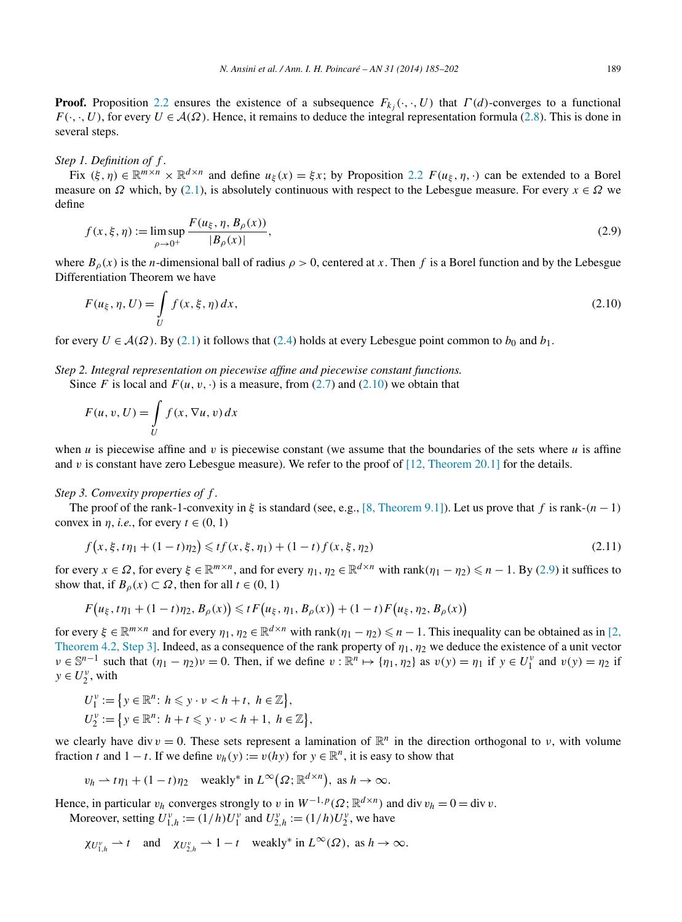<span id="page-4-0"></span>**Proof.** Proposition [2.2](#page-3-0) ensures the existence of a subsequence  $F_{k_i}(\cdot, \cdot, U)$  that  $\Gamma(d)$ -converges to a functional  $F(\cdot, \cdot, U)$ , for every  $U \in \mathcal{A}(\Omega)$ . Hence, it remains to deduce the integral representation formula [\(2.8\)](#page-3-0). This is done in several steps.

#### *Step 1. Definition of f .*

Fix  $(\xi, \eta) \in \mathbb{R}^{m \times n} \times \mathbb{R}^{d \times n}$  and define  $u_{\xi}(x) = \xi x$ ; by Proposition [2.2](#page-3-0)  $F(u_{\xi}, \eta, \cdot)$  can be extended to a Borel measure on  $\Omega$  which, by [\(2.1\)](#page-2-0), is absolutely continuous with respect to the Lebesgue measure. For every  $x \in \Omega$  we define

$$
f(x, \xi, \eta) := \limsup_{\rho \to 0^+} \frac{F(u_{\xi}, \eta, B_{\rho}(x))}{|B_{\rho}(x)|},
$$
\n(2.9)

where  $B_\rho(x)$  is the *n*-dimensional ball of radius  $\rho > 0$ , centered at *x*. Then *f* is a Borel function and by the Lebesgue Differentiation Theorem we have

$$
F(u_{\xi}, \eta, U) = \int_{U} f(x, \xi, \eta) dx,
$$
\n(2.10)

for every  $U \in \mathcal{A}(\Omega)$ . By [\(2.1\)](#page-2-0) it follows that [\(2.4\)](#page-3-0) holds at every Lebesgue point common to  $b_0$  and  $b_1$ .

*Step 2. Integral representation on piecewise affine and piecewise constant functions.*

Since *F* is local and  $F(u, v, \cdot)$  is a measure, from [\(2.7\)](#page-3-0) and (2.10) we obtain that

$$
F(u, v, U) = \int\limits_{U} f(x, \nabla u, v) dx
$$

when *u* is piecewise affine and *v* is piecewise constant (we assume that the boundaries of the sets where *u* is affine and *v* is constant have zero Lebesgue measure). We refer to the proof of [\[12, Theorem 20.1\]](#page-17-0) for the details.

#### *Step 3. Convexity properties of f .*

The proof of the rank-1-convexity in  $\xi$  is standard (see, e.g., [\[8, Theorem 9.1\]\)](#page-17-0). Let us prove that *f* is rank- $(n-1)$ convex in *η*, *i.e.*, for every  $t \in (0, 1)$ 

$$
f(x, \xi, t\eta_1 + (1 - t)\eta_2) \leqslant tf(x, \xi, \eta_1) + (1 - t)f(x, \xi, \eta_2)
$$
\n(2.11)

for every  $x \in \Omega$ , for every  $\xi \in \mathbb{R}^{m \times n}$ , and for every  $\eta_1, \eta_2 \in \mathbb{R}^{d \times n}$  with  $\text{rank}(\eta_1 - \eta_2) \leq n - 1$ . By (2.9) it suffices to show that, if  $B_\rho(x) \subset \Omega$ , then for all  $t \in (0, 1)$ 

$$
F(u_{\xi}, t\eta_1 + (1-t)\eta_2, B_{\rho}(x)) \leq t F(u_{\xi}, \eta_1, B_{\rho}(x)) + (1-t)F(u_{\xi}, \eta_2, B_{\rho}(x))
$$

for every  $\xi \in \mathbb{R}^{m \times n}$  and for every  $\eta_1, \eta_2 \in \mathbb{R}^{d \times n}$  with rank $(\eta_1 - \eta_2) \leq n - 1$ . This inequality can be obtained as in [\[2,](#page-16-0) [Theorem 4.2, Step 3\].](#page-16-0) Indeed, as a consequence of the rank property of *η*1*,η*<sup>2</sup> we deduce the existence of a unit vector  $\nu \in \mathbb{S}^{n-1}$  such that  $(\eta_1 - \eta_2)\nu = 0$ . Then, if we define  $\nu : \mathbb{R}^n \mapsto {\eta_1, \eta_2}$  as  $\nu(y) = \eta_1$  if  $y \in U_1^{\nu}$  and  $\nu(y) = \eta_2$  if  $y \in U_2^{\nu}$ , with

$$
U_1^{\nu} := \{ y \in \mathbb{R}^n : h \leqslant y \cdot \nu < h + t, \ h \in \mathbb{Z} \},
$$
\n
$$
U_2^{\nu} := \{ y \in \mathbb{R}^n : h + t \leqslant y \cdot \nu < h + 1, \ h \in \mathbb{Z} \},
$$

we clearly have div  $v = 0$ . These sets represent a lamination of  $\mathbb{R}^n$  in the direction orthogonal to *v*, with volume fraction *t* and 1 − *t*. If we define  $v_h(y) := v(hy)$  for  $y \in \mathbb{R}^n$ , it is easy to show that

$$
v_h \rightharpoonup t\eta_1 + (1-t)\eta_2
$$
 weakly\* in  $L^{\infty}(\Omega; \mathbb{R}^{d \times n})$ , as  $h \to \infty$ .

Hence, in particular  $v_h$  converges strongly to *v* in  $W^{-1,p}(\Omega; \mathbb{R}^{d \times n})$  and div  $v_h = 0 = \text{div } v$ . Moreover, setting  $U_{1,h}^{\nu} := (1/h)U_1^{\nu}$  and  $U_{2,h}^{\nu} := (1/h)U_2^{\nu}$ , we have

 $\chi_{U_{1,h}^{\nu}} \rightharpoonup t$  and  $\chi_{U_{2,h}^{\nu}} \rightharpoonup 1 - t$  weakly<sup>\*</sup> in  $L^{\infty}(\Omega)$ , as  $h \to \infty$ .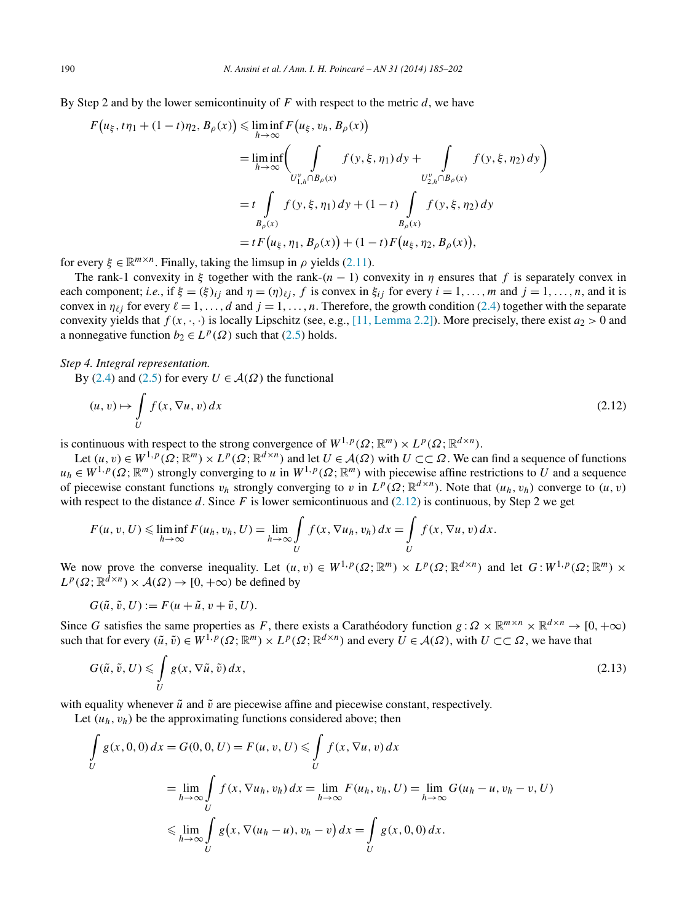By Step 2 and by the lower semicontinuity of *F* with respect to the metric *d*, we have

$$
F(u_{\xi}, t\eta_{1} + (1-t)\eta_{2}, B_{\rho}(x)) \leq \liminf_{h \to \infty} F(u_{\xi}, v_{h}, B_{\rho}(x))
$$
  
\n
$$
= \liminf_{h \to \infty} \left( \int_{U_{1,h}^{\nu} \cap B_{\rho}(x)} f(y, \xi, \eta_{1}) dy + \int_{U_{2,h}^{\nu} \cap B_{\rho}(x)} f(y, \xi, \eta_{2}) dy \right)
$$
  
\n
$$
= t \int_{B_{\rho}(x)} f(y, \xi, \eta_{1}) dy + (1-t) \int_{B_{\rho}(x)} f(y, \xi, \eta_{2}) dy
$$
  
\n
$$
= t F(u_{\xi}, \eta_{1}, B_{\rho}(x)) + (1-t) F(u_{\xi}, \eta_{2}, B_{\rho}(x)),
$$

for every  $\xi \in \mathbb{R}^{m \times n}$ . Finally, taking the limsup in  $\rho$  yields [\(2.11\)](#page-4-0).

The rank-1 convexity in  $\xi$  together with the rank- $(n-1)$  convexity in  $\eta$  ensures that  $f$  is separately convex in each component; *i.e.*, if  $\xi = (\xi)_{ij}$  and  $\eta = (\eta)_{\ell j}$ , f is convex in  $\xi_{ij}$  for every  $i = 1, ..., m$  and  $j = 1, ..., n$ , and it is convex in  $\eta_{\ell j}$  for every  $\ell = 1, \ldots, d$  and  $j = 1, \ldots, n$ . Therefore, the growth condition [\(2.4\)](#page-3-0) together with the separate convexity yields that  $f(x, \cdot, \cdot)$  is locally Lipschitz (see, e.g., [\[11, Lemma 2.2\]\)](#page-17-0). More precisely, there exist  $a_2 > 0$  and a nonnegative function  $b_2 \in L^p(\Omega)$  such that [\(2.5\)](#page-3-0) holds.

## *Step 4. Integral representation.*

By [\(2.4\)](#page-3-0) and [\(2.5\)](#page-3-0) for every  $U \in \mathcal{A}(\Omega)$  the functional

$$
(u, v) \mapsto \int\limits_U f(x, \nabla u, v) dx \tag{2.12}
$$

is continuous with respect to the strong convergence of  $W^{1,p}(\Omega;\mathbb{R}^m) \times L^p(\Omega;\mathbb{R}^{d \times n})$ .

Let  $(u, v) \in W^{1, p}(\Omega; \mathbb{R}^m) \times L^p(\Omega; \mathbb{R}^{d \times n})$  and let  $U \in \mathcal{A}(\Omega)$  with  $U \subset\subset \Omega$ . We can find a sequence of functions  $u_h \in W^{1,p}(\Omega;\mathbb{R}^m)$  strongly converging to *u* in  $W^{1,p}(\Omega;\mathbb{R}^m)$  with piecewise affine restrictions to *U* and a sequence of piecewise constant functions  $v_h$  strongly converging to *v* in  $L^p(\Omega;\mathbb{R}^{d \times n})$ . Note that  $(u_h, v_h)$  converge to  $(u, v)$ with respect to the distance *d*. Since *F* is lower semicontinuous and  $(2.12)$  is continuous, by Step 2 we get

$$
F(u, v, U) \leq \liminf_{h \to \infty} F(u_h, v_h, U) = \lim_{h \to \infty} \int_{U} f(x, \nabla u_h, v_h) dx = \int_{U} f(x, \nabla u, v) dx.
$$

We now prove the converse inequality. Let  $(u, v) \in W^{1, p}(\Omega; \mathbb{R}^m) \times L^p(\Omega; \mathbb{R}^{d \times n})$  and let  $G: W^{1, p}(\Omega; \mathbb{R}^m) \times L^p(\Omega; \mathbb{R}^m)$  $L^p(\Omega; \mathbb{R}^{d \times n}) \times A(\Omega) \to [0, +\infty)$  be defined by

$$
G(\tilde{u}, \tilde{v}, U) := F(u + \tilde{u}, v + \tilde{v}, U).
$$

Since *G* satisfies the same properties as *F*, there exists a Carathéodory function  $g : \Omega \times \mathbb{R}^{m \times n} \times \mathbb{R}^{d \times n} \to [0, +\infty)$ such that for every  $(\tilde{u}, \tilde{v}) \in W^{1,p}(\Omega; \mathbb{R}^m) \times L^p(\Omega; \mathbb{R}^{d \times n})$  and every  $\tilde{U} \in \mathcal{A}(\Omega)$ , with  $U \subset\subset \Omega$ , we have that

$$
G(\tilde{u}, \tilde{v}, U) \leqslant \int_{U} g(x, \nabla \tilde{u}, \tilde{v}) dx,
$$
\n(2.13)

with equality whenever  $\tilde{u}$  and  $\tilde{v}$  are piecewise affine and piecewise constant, respectively.

Let  $(u_h, v_h)$  be the approximating functions considered above; then

$$
\int_{U} g(x, 0, 0) dx = G(0, 0, U) = F(u, v, U) \le \int_{U} f(x, \nabla u, v) dx
$$
\n
$$
= \lim_{h \to \infty} \int_{U} f(x, \nabla u_h, v_h) dx = \lim_{h \to \infty} F(u_h, v_h, U) = \lim_{h \to \infty} G(u_h - u, v_h - v, U)
$$
\n
$$
\le \lim_{h \to \infty} \int_{U} g(x, \nabla (u_h - u), v_h - v) dx = \int_{U} g(x, 0, 0) dx.
$$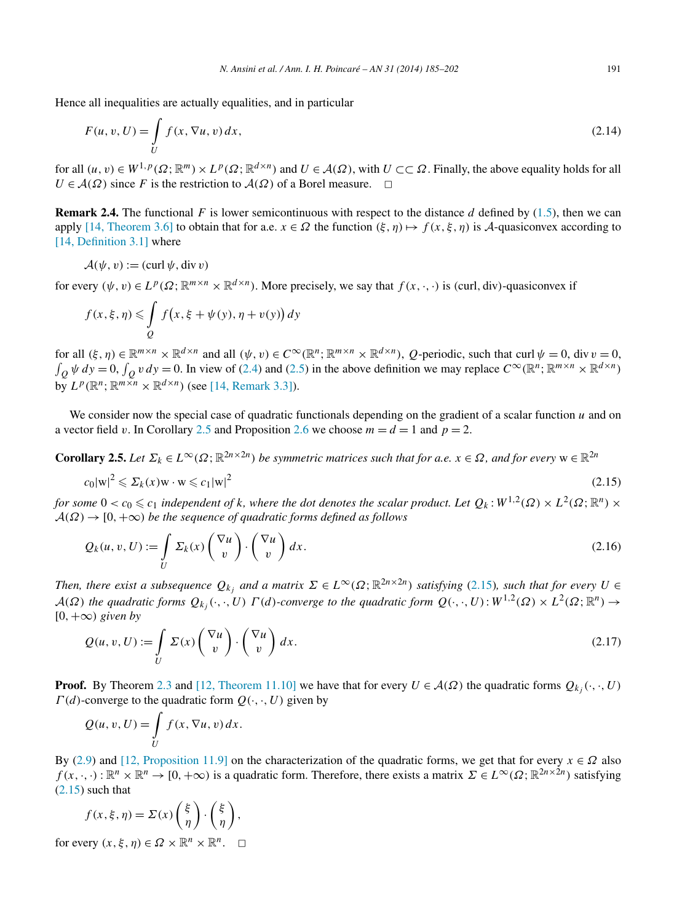<span id="page-6-0"></span>Hence all inequalities are actually equalities, and in particular

$$
F(u, v, U) = \int_{U} f(x, \nabla u, v) dx,
$$
\n(2.14)

for all  $(u, v) \in W^{1, p}(\Omega; \mathbb{R}^m) \times L^p(\Omega; \mathbb{R}^{d \times n})$  and  $U \in \mathcal{A}(\Omega)$ , with  $U \subset\subset \Omega$ . Finally, the above equality holds for all  $U \in \mathcal{A}(\Omega)$  since *F* is the restriction to  $\mathcal{A}(\Omega)$  of a Borel measure.  $\Box$ 

**Remark 2.4.** The functional F is lower semicontinuous with respect to the distance d defined by  $(1.5)$ , then we can apply [\[14, Theorem 3.6\]](#page-17-0) to obtain that for a.e.  $x \in \Omega$  the function  $(\xi, \eta) \mapsto f(x, \xi, \eta)$  is A-quasiconvex according to [\[14, Definition 3.1\]](#page-17-0) where

$$
\mathcal{A}(\psi, v) := (\text{curl } \psi, \text{div } v)
$$

for every  $(\psi, v) \in L^p(\Omega; \mathbb{R}^{m \times n} \times \mathbb{R}^{d \times n})$ . More precisely, we say that  $f(x, \cdot, \cdot)$  is *(curl, div)*-quasiconvex if

$$
f(x,\xi,\eta) \leq \int\limits_{Q} f(x,\xi + \psi(y), \eta + v(y)) dy
$$

for all  $(\xi, \eta) \in \mathbb{R}^{m \times n} \times \mathbb{R}^{d \times n}$  and all  $(\psi, v) \in C^{\infty}(\mathbb{R}^n; \mathbb{R}^{m \times n} \times \mathbb{R}^{d \times n})$ , *Q*-periodic, such that curl  $\psi = 0$ , div  $v = 0$ ,  $\int_{Q} \psi \, dy = 0$ ,  $\int_{Q} v \, dy = 0$ . In view of [\(2.4\)](#page-3-0) and [\(2.5\)](#page-3-0) in the above definition we may replace  $C^{\infty}(\mathbb{R}^{n}; \mathbb{R}^{m \times n} \times \mathbb{R}^{d \times n})$  $\overline{b}$   $\overline{v}$   $L^p(\mathbb{R}^n; \mathbb{R}^{m \times n} \times \mathbb{R}^{d \times n})$  (see [\[14, Remark 3.3\]\)](#page-17-0).

We consider now the special case of quadratic functionals depending on the gradient of a scalar function *u* and on a vector field *v*. In Corollary 2.5 and Proposition [2.6](#page-7-0) we choose  $m = d = 1$  and  $p = 2$ .

**Corollary 2.5.** *Let*  $\Sigma_k \in L^{\infty}(\Omega; \mathbb{R}^{2n \times 2n})$  *be symmetric matrices such that for a.e.*  $x \in \Omega$ *, and for every*  $w \in \mathbb{R}^{2n}$ 

$$
c_0|\mathbf{w}|^2 \leqslant \Sigma_k(x)\mathbf{w} \cdot \mathbf{w} \leqslant c_1|\mathbf{w}|^2 \tag{2.15}
$$

*for some*  $0 < c_0 \leqslant c_1$  *independent of k, where the dot denotes the scalar product. Let*  $Q_k$ *:*  $W^{1,2}(\Omega) \times L^2(\Omega;\mathbb{R}^n) \times$  $A(\Omega) \rightarrow [0, +\infty)$  *be the sequence of quadratic forms defined as follows* 

$$
Q_k(u, v, U) := \int\limits_{U} \Sigma_k(x) \begin{pmatrix} \nabla u \\ v \end{pmatrix} \cdot \begin{pmatrix} \nabla u \\ v \end{pmatrix} dx.
$$
 (2.16)

*Then, there exist a subsequence*  $Q_{k_i}$  *and a matrix*  $\Sigma \in L^{\infty}(\Omega; \mathbb{R}^{2n \times 2n})$  *satisfying* (2.15)*, such that for every*  $U \in$  $A(\Omega)$  the quadratic forms  $Q_{k_i}(\cdot, \cdot, U)$   $\Gamma(d)$ -converge to the quadratic form  $Q(\cdot, \cdot, U): W^{1,2}(\Omega) \times L^2(\Omega; \mathbb{R}^n) \to$ [0*,*+∞*) given by*

$$
Q(u, v, U) := \int_{U} \Sigma(x) \begin{pmatrix} \nabla u \\ v \end{pmatrix} \cdot \begin{pmatrix} \nabla u \\ v \end{pmatrix} dx.
$$
 (2.17)

**Proof.** By Theorem [2.3](#page-3-0) and [\[12, Theorem 11.10\]](#page-17-0) we have that for every  $U \in \mathcal{A}(\Omega)$  the quadratic forms  $Q_{k,i}(\cdot,\cdot,U)$ *Γ (d)*-converge to the quadratic form *Q(*·*,*·*,U)* given by

$$
Q(u, v, U) = \int\limits_U f(x, \nabla u, v) \, dx.
$$

By [\(2.9\)](#page-4-0) and [\[12, Proposition 11.9\]](#page-17-0) on the characterization of the quadratic forms, we get that for every  $x \in \Omega$  also  $f(x, \cdot, \cdot): \mathbb{R}^n \times \mathbb{R}^n \to [0, +\infty)$  is a quadratic form. Therefore, there exists a matrix  $\Sigma \in L^{\infty}(\Omega; \mathbb{R}^{2n \times 2n})$  satisfying  $(2.15)$  such that

$$
f(x,\xi,\eta) = \Sigma(x) \begin{pmatrix} \xi \\ \eta \end{pmatrix} \cdot \begin{pmatrix} \xi \\ \eta \end{pmatrix},
$$

for every  $(x, \xi, \eta) \in \Omega \times \mathbb{R}^n \times \mathbb{R}^n$ .  $\square$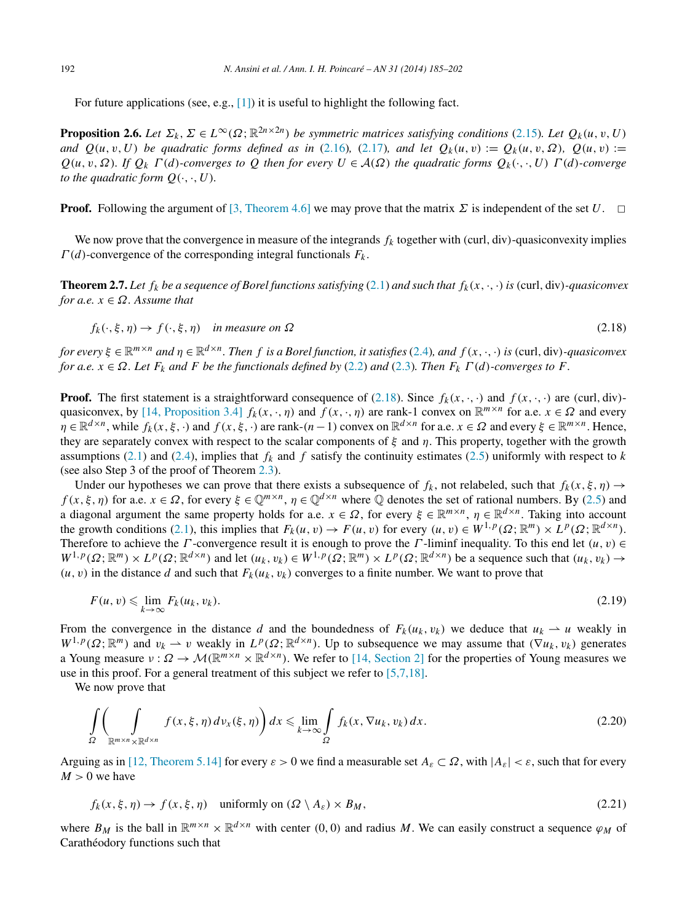<span id="page-7-0"></span>For future applications (see, e.g., [\[1\]\)](#page-16-0) it is useful to highlight the following fact.

**Proposition 2.6.** *Let*  $\Sigma_k$ ,  $\Sigma \in L^\infty(\Omega; \mathbb{R}^{2n \times 2n})$  *be symmetric matrices satisfying conditions* [\(2.15\)](#page-6-0)*. Let*  $Q_k(u, v, U)$ *and*  $Q(u, v, U)$  *be quadratic forms defined as in* [\(2.16\)](#page-6-0)*,* [\(2.17\)](#page-6-0)*, and let*  $Q_k(u, v) := Q_k(u, v, \Omega)$ *,*  $Q(u, v) :=$ *Q(u,v,Ω). If Qk Γ (d)-converges to Q then for every U* ∈ A*(Ω) the quadratic forms Qk(*·*,*·*,U) Γ (d)-converge to the quadratic form*  $O(\cdot, \cdot, U)$ *.* 

**Proof.** Following the argument of [\[3, Theorem 4.6\]](#page-16-0) we may prove that the matrix  $\Sigma$  is independent of the set  $U$ .

We now prove that the convergence in measure of the integrands  $f_k$  together with *(curl, div)*-quasiconvexity implies *Γ (d)*-convergence of the corresponding integral functionals *Fk* .

**Theorem 2.7.** Let  $f_k$  be a sequence of Borel functions satisfying [\(2.1\)](#page-2-0) and such that  $f_k(x, \cdot, \cdot)$  is (curl, div)-quasiconvex *for a.e.*  $x \in \Omega$ *. Assume that* 

$$
f_k(\cdot, \xi, \eta) \to f(\cdot, \xi, \eta) \quad \text{in measure on } \Omega \tag{2.18}
$$

for every  $\xi \in \mathbb{R}^{m \times n}$  and  $\eta \in \mathbb{R}^{d \times n}$ . Then f is a Borel function, it satisfies [\(2.4\)](#page-3-0), and  $f(x, \cdot, \cdot)$  is (curl, div)-quasiconvex *for a.e.*  $x \in \Omega$ *. Let*  $F_k$  *and*  $F$  *be the functionals defined by* [\(2.2\)](#page-2-0) *and* [\(2.3\)](#page-2-0)*. Then*  $F_k \Gamma(d)$ *-converges to*  $F$ *.* 

**Proof.** The first statement is a straightforward consequence of (2.18). Since  $f_k(x, \cdot, \cdot)$  and  $f(x, \cdot, \cdot)$  are *(curl, div)*-quasiconvex, by [\[14, Proposition 3.4\]](#page-17-0)  $f_k(x, \cdot, \eta)$  and  $f(x, \cdot, \eta)$  are rank-1 convex on  $\mathbb{R}^{m \times n}$  for a.e.  $x \in \Omega$  and every  $\eta \in \mathbb{R}^{d \times n}$ , while  $f_k(x, \xi, \cdot)$  and  $f(x, \xi, \cdot)$  are rank- $(n-1)$  convex on  $\mathbb{R}^{d \times n}$  for a.e.  $x \in \Omega$  and every  $\xi \in \mathbb{R}^{m \times n}$ . Hence, they are separately convex with respect to the scalar components of *ξ* and *η*. This property, together with the growth assumptions [\(2.1\)](#page-2-0) and [\(2.4\)](#page-3-0), implies that  $f_k$  and  $f$  satisfy the continuity estimates [\(2.5\)](#page-3-0) uniformly with respect to  $k$ (see also Step 3 of the proof of Theorem [2.3\)](#page-3-0).

Under our hypotheses we can prove that there exists a subsequence of  $f_k$ , not relabeled, such that  $f_k(x, \xi, \eta) \to$ *f* (*x*,  $\xi$ ,  $\eta$ ) for a.e.  $x \in \Omega$ , for every  $\xi \in \mathbb{Q}^{m \times n}$ ,  $\eta \in \mathbb{Q}^{d \times n}$  where  $\mathbb Q$  denotes the set of rational numbers. By [\(2.5\)](#page-3-0) and a diagonal argument the same property holds for a.e.  $x \in \Omega$ , for every  $\xi \in \mathbb{R}^{m \times n}$ ,  $\eta \in \mathbb{R}^{d \times n}$ . Taking into account the growth conditions [\(2.1\)](#page-2-0), this implies that  $F_k(u, v) \to F(u, v)$  for every  $(u, v) \in W^{1, p}(\Omega; \mathbb{R}^m) \times L^p(\Omega; \mathbb{R}^{d \times n})$ . Therefore to achieve the *Γ*-convergence result it is enough to prove the *Γ*-liminf inequality. To this end let  $(u, v) \in$  $W^{1,p}(\Omega;\mathbb{R}^m) \times L^p(\Omega;\mathbb{R}^{d \times n})$  and let  $(u_k,v_k) \in W^{1,p}(\Omega;\mathbb{R}^m) \times L^p(\Omega;\mathbb{R}^{d \times n})$  be a sequence such that  $(u_k,v_k) \to$  $(u, v)$  in the distance *d* and such that  $F_k(u_k, v_k)$  converges to a finite number. We want to prove that

$$
F(u, v) \leq \lim_{k \to \infty} F_k(u_k, v_k). \tag{2.19}
$$

From the convergence in the distance *d* and the boundedness of  $F_k(u_k, v_k)$  we deduce that  $u_k \rightharpoonup u$  weakly in  $W^{1,p}(\Omega;\mathbb{R}^m)$  and  $v_k \rightharpoonup v$  weakly in  $L^p(\Omega;\mathbb{R}^{d \times n})$ . Up to subsequence we may assume that  $(\nabla u_k, v_k)$  generates a Young measure  $v : \Omega \to \mathcal{M}(\mathbb{R}^{m \times n} \times \mathbb{R}^{d \times n})$ . We refer to [\[14, Section 2\]](#page-17-0) for the properties of Young measures we use in this proof. For a general treatment of this subject we refer to [\[5,7,18\].](#page-16-0)

We now prove that

$$
\int_{\Omega} \left( \int_{\mathbb{R}^{m \times n} \times \mathbb{R}^{d \times n}} f(x, \xi, \eta) \, dv_x(\xi, \eta) \right) dx \leq \lim_{k \to \infty} \int_{\Omega} f_k(x, \nabla u_k, v_k) \, dx. \tag{2.20}
$$

Arguing as in [\[12, Theorem 5.14\]](#page-17-0) for every  $\varepsilon > 0$  we find a measurable set  $A_{\varepsilon} \subset \Omega$ , with  $|A_{\varepsilon}| < \varepsilon$ , such that for every  $M > 0$  we have

$$
f_k(x,\xi,\eta) \to f(x,\xi,\eta) \quad \text{uniformly on } (\Omega \setminus A_{\varepsilon}) \times B_M,
$$
\n(2.21)

where  $B_M$  is the ball in  $\mathbb{R}^{m \times n} \times \mathbb{R}^{d \times n}$  with center (0, 0) and radius M. We can easily construct a sequence  $\varphi_M$  of Carathéodory functions such that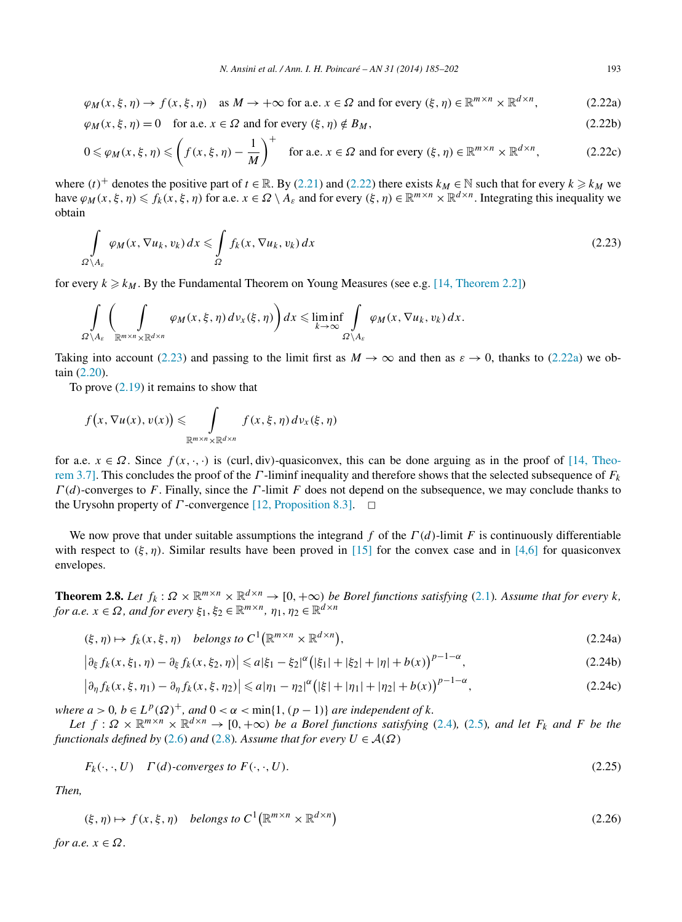<span id="page-8-0"></span>
$$
\varphi_M(x,\xi,\eta) \to f(x,\xi,\eta) \quad \text{as } M \to +\infty \text{ for a.e. } x \in \Omega \text{ and for every } (\xi,\eta) \in \mathbb{R}^{m \times n} \times \mathbb{R}^{d \times n},\tag{2.22a}
$$

$$
\varphi_M(x,\xi,\eta) = 0 \quad \text{for a.e. } x \in \Omega \text{ and for every } (\xi,\eta) \notin B_M,
$$
\n(2.22b)

$$
0 \leq \varphi_M(x, \xi, \eta) \leq \left(f(x, \xi, \eta) - \frac{1}{M}\right)^{+} \quad \text{for a.e. } x \in \Omega \text{ and for every } (\xi, \eta) \in \mathbb{R}^{m \times n} \times \mathbb{R}^{d \times n},\tag{2.22c}
$$

where  $(t)^+$  denotes the positive part of  $t \in \mathbb{R}$ . By [\(2.21\)](#page-7-0) and [\(2.22\)](#page-7-0) there exists  $k_M \in \mathbb{N}$  such that for every  $k \ge k_M$  we have  $\varphi_M(x, \xi, \eta) \leq f_k(x, \xi, \eta)$  for a.e.  $x \in \Omega \setminus A_\varepsilon$  and for every  $(\xi, \eta) \in \mathbb{R}^{m \times n} \times \mathbb{R}^{d \times n}$ . Integrating this inequality we obtain

$$
\int_{\Omega \setminus A_{\varepsilon}} \varphi_M(x, \nabla u_k, v_k) \, dx \leqslant \int_{\Omega} f_k(x, \nabla u_k, v_k) \, dx \tag{2.23}
$$

for every  $k \geq k_M$ . By the Fundamental Theorem on Young Measures (see e.g. [\[14, Theorem 2.2\]\)](#page-17-0)

$$
\int_{\Omega\setminus A_{\varepsilon}}\left(\int_{\mathbb{R}^{m\times n}\times\mathbb{R}^{d\times n}}\varphi_{M}(x,\xi,\eta)\,d\,\nu_{x}(\xi,\eta)\right)dx\leqslant\liminf_{k\to\infty}\int_{\Omega\setminus A_{\varepsilon}}\varphi_{M}(x,\nabla u_{k},\nu_{k})\,dx.
$$

Taking into account (2.23) and passing to the limit first as  $M \to \infty$  and then as  $\varepsilon \to 0$ , thanks to (2.22a) we obtain [\(2.20\)](#page-7-0).

To prove  $(2.19)$  it remains to show that

$$
f(x, \nabla u(x), v(x)) \leq \int_{\mathbb{R}^{m \times n} \times \mathbb{R}^{d \times n}} f(x, \xi, \eta) dv_x(\xi, \eta)
$$

for a.e.  $x \in \Omega$ . Since  $f(x, \cdot, \cdot)$  is (curl, div)-quasiconvex, this can be done arguing as in the proof of [\[14, Theo](#page-17-0)[rem 3.7\].](#page-17-0) This concludes the proof of the *Γ* -liminf inequality and therefore shows that the selected subsequence of *Fk Γ (d)*-converges to *F*. Finally, since the *Γ* -limit *F* does not depend on the subsequence, we may conclude thanks to the Urysohn property of *Γ* -convergence [\[12, Proposition 8.3\].](#page-17-0) □

We now prove that under suitable assumptions the integrand *f* of the *Γ (d)*-limit *F* is continuously differentiable with respect to  $(\xi, \eta)$ . Similar results have been proved in [\[15\]](#page-17-0) for the convex case and in [\[4,6\]](#page-16-0) for quasiconvex envelopes.

**Theorem 2.8.** Let  $f_k : \Omega \times \mathbb{R}^{m \times n} \times \mathbb{R}^{d \times n} \to [0, +\infty)$  be Borel functions satisfying [\(2.1\)](#page-2-0). Assume that for every k, *for a.e.*  $x \in \Omega$ *, and for every*  $\xi_1, \xi_2 \in \mathbb{R}^{m \times n}$ ,  $\eta_1, \eta_2 \in \mathbb{R}^{d \times n}$ 

$$
(\xi, \eta) \mapsto f_k(x, \xi, \eta) \quad belongs \ to \ C^1(\mathbb{R}^{m \times n} \times \mathbb{R}^{d \times n}), \tag{2.24a}
$$

$$
\left|\partial_{\xi} f_k(x,\xi_1,\eta) - \partial_{\xi} f_k(x,\xi_2,\eta)\right| \leq a|\xi_1 - \xi_2|^{\alpha}\left(|\xi_1| + |\xi_2| + |\eta| + b(x)\right)^{p-1-\alpha},\tag{2.24b}
$$

$$
\left|\partial_{\eta} f_{k}(x,\xi,\eta_{1}) - \partial_{\eta} f_{k}(x,\xi,\eta_{2})\right| \leq a|\eta_{1} - \eta_{2}|^{\alpha}\left(|\xi| + |\eta_{1}| + |\eta_{2}| + b(x)\right)^{p-1-\alpha},\tag{2.24c}
$$

*where*  $a > 0$ ,  $b \in L^p(\Omega)^+$ , and  $0 < \alpha < \min\{1, (p-1)\}$  are independent of k.

*Let*  $f: \Omega \times \mathbb{R}^{m \times n} \times \mathbb{R}^{d \times n} \to [0, +\infty)$  *be a Borel functions satisfying* [\(2.4\)](#page-3-0)*,* (2.5*), and let*  $F_k$  *and*  $F$  *be the functionals defined by* [\(2.6\)](#page-3-0) *and* [\(2.8\)](#page-3-0)*. Assume that for every*  $U \in \mathcal{A}(\Omega)$ 

$$
F_k(\cdot, \cdot, U) \quad \Gamma(d)\text{-converges to } F(\cdot, \cdot, U). \tag{2.25}
$$

*Then,*

$$
(\xi, \eta) \mapsto f(x, \xi, \eta) \quad belongs \ to \ C^1(\mathbb{R}^{m \times n} \times \mathbb{R}^{d \times n})
$$
\n
$$
(2.26)
$$

*for a.e.*  $x \in \Omega$ *.*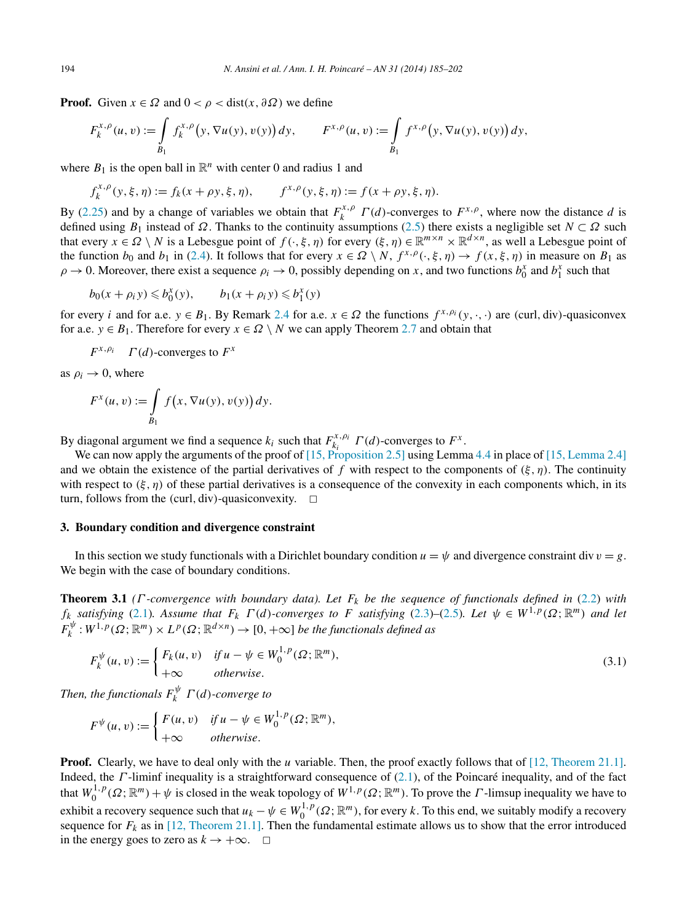<span id="page-9-0"></span>**Proof.** Given  $x \in \Omega$  and  $0 < \rho <$  dist $(x, \partial \Omega)$  we define

$$
F_k^{x,\rho}(u,v) := \int\limits_{B_1} f_k^{x,\rho}(y,\nabla u(y),v(y))\,dy, \qquad F^{x,\rho}(u,v) := \int\limits_{B_1} f^{x,\rho}(y,\nabla u(y),v(y))\,dy,
$$

where  $B_1$  is the open ball in  $\mathbb{R}^n$  with center 0 and radius 1 and

$$
f_k^{x,\rho}(y,\xi,\eta) := f_k(x+\rho y,\xi,\eta), \qquad f^{x,\rho}(y,\xi,\eta) := f(x+\rho y,\xi,\eta).
$$

By [\(2.25\)](#page-8-0) and by a change of variables we obtain that  $F_k^{x,\rho}$   $\Gamma(d)$ -converges to  $F^{x,\rho}$ , where now the distance *d* is defined using  $B_1$  instead of  $\Omega$ . Thanks to the continuity assumptions [\(2.5\)](#page-3-0) there exists a negligible set  $N \subset \Omega$  such that every  $x \in \Omega \setminus N$  is a Lebesgue point of  $f(\cdot,\xi,\eta)$  for every  $(\xi,\eta) \in \mathbb{R}^{m \times n} \times \mathbb{R}^{d \times n}$ , as well a Lebesgue point of the function *b*<sub>0</sub> and *b*<sub>1</sub> in [\(2.4\)](#page-3-0). It follows that for every  $x \in \Omega \setminus N$ ,  $f^{x,\rho}(\cdot,\xi,\eta) \to f(x,\xi,\eta)$  in measure on *B*<sub>1</sub> as  $\rho \to 0$ . Moreover, there exist a sequence  $\rho_i \to 0$ , possibly depending on *x*, and two functions  $b_0^x$  and  $b_1^x$  such that

$$
b_0(x + \rho_i y) \leq b_0^x(y), \qquad b_1(x + \rho_i y) \leq b_1^x(y)
$$

for every *i* and for a.e.  $y \in B_1$ . By Remark [2.4](#page-6-0) for a.e.  $x \in \Omega$  the functions  $f^{x, \rho_i}(y, \cdot, \cdot)$  are *(curl, div)*-quasiconvex for a.e.  $y \in B_1$ . Therefore for every  $x \in \Omega \setminus N$  we can apply Theorem [2.7](#page-7-0) and obtain that

$$
F^{x,\rho_i}
$$
  $\Gamma(d)$ -converges to  $F^x$ 

as  $\rho_i \rightarrow 0$ , where

$$
F^x(u,v) := \int\limits_{B_1} f(x, \nabla u(y), v(y)) dy.
$$

By diagonal argument we find a sequence  $k_i$  such that  $F_{k_i}^{x, \rho_i} \Gamma(d)$ -converges to  $F^x$ .

We can now apply the arguments of the proof of [15, [Proposition 2.5\]](#page-17-0) using Lemma [4.4](#page-14-0) in place of [\[15, Lemma 2.4\]](#page-17-0) and we obtain the existence of the partial derivatives of f with respect to the components of  $(\xi, \eta)$ . The continuity with respect to  $(\xi, \eta)$  of these partial derivatives is a consequence of the convexity in each components which, in its turn, follows from the *(curl, div)*-quasiconvexity.  $\Box$ 

#### **3. Boundary condition and divergence constraint**

In this section we study functionals with a Dirichlet boundary condition  $u = \psi$  and divergence constraint div  $v = g$ . We begin with the case of boundary conditions.

**Theorem 3.1** *(Γ -convergence with boundary data). Let Fk be the sequence of functionals defined in* [\(2.2\)](#page-2-0) *with fk satisfying* [\(2.1\)](#page-2-0)*.* Assume that  $F_k \cap (d)$ *-converges to F satisfying* [\(2.3\)](#page-2-0)–[\(2.5\)](#page-3-0)*. Let*  $\psi \in W^{1,p}(\Omega; \mathbb{R}^m)$  *and let*  $F_k^{\psi}: W^{1,p}(\Omega;\mathbb{R}^m) \times L^p(\Omega;\mathbb{R}^{d \times n}) \to [0,+\infty]$  *be the functionals defined as* 

$$
F_k^{\psi}(u, v) := \begin{cases} F_k(u, v) & \text{if } u - \psi \in W_0^{1, p}(\Omega; \mathbb{R}^m), \\ +\infty & \text{otherwise.} \end{cases} \tag{3.1}
$$

*Then, the functionals*  $F_k^{\psi}$   $\Gamma(d)$ *-converge to* 

$$
F^{\psi}(u,v) := \begin{cases} F(u,v) & \text{if } u - \psi \in W_0^{1,p}(\Omega; \mathbb{R}^m), \\ +\infty & \text{otherwise.} \end{cases}
$$

**Proof.** Clearly, we have to deal only with the *u* variable. Then, the proof exactly follows that of [\[12, Theorem 21.1\].](#page-17-0) Indeed, the *Γ* -liminf inequality is a straightforward consequence of [\(2.1\)](#page-2-0), of the Poincaré inequality, and of the fact that  $W_0^{1,p}(\Omega;\mathbb{R}^m) + \psi$  is closed in the weak topology of  $W^{1,p}(\Omega;\mathbb{R}^m)$ . To prove the *Γ*-limsup inequality we have to exhibit a recovery sequence such that  $u_k - \psi \in W_0^{1,p}(\Omega; \mathbb{R}^m)$ , for every *k*. To this end, we suitably modify a recovery sequence for  $F_k$  as in [\[12, Theorem 21.1\].](#page-17-0) Then the fundamental estimate allows us to show that the error introduced in the energy goes to zero as  $k \to +\infty$ .  $\Box$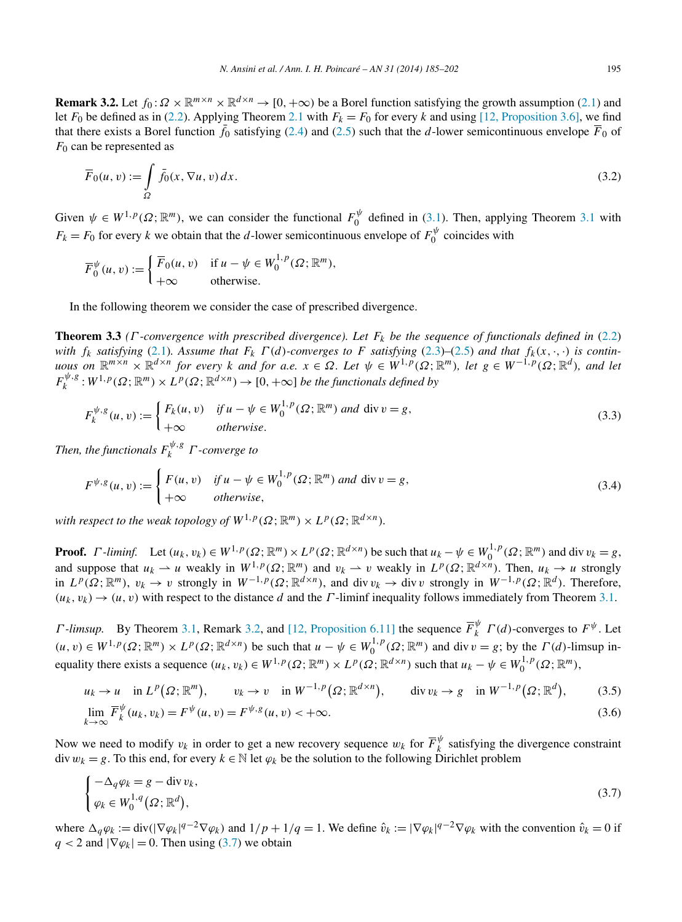<span id="page-10-0"></span>**Remark 3.2.** Let  $f_0: \Omega \times \mathbb{R}^{m \times n} \times \mathbb{R}^{d \times n} \to [0, +\infty)$  be a Borel function satisfying the growth assumption [\(2.1\)](#page-2-0) and let  $F_0$  be defined as in [\(2.2\)](#page-2-0). Applying Theorem [2.1](#page-2-0) with  $F_k = F_0$  for every *k* and using [\[12, Proposition 3.6\],](#page-17-0) we find that there exists a Borel function  $\bar{f}_0$  satisfying [\(2.4\)](#page-3-0) and [\(2.5\)](#page-3-0) such that the *d*-lower semicontinuous envelope  $\bar{F}_0$  of *F*<sup>0</sup> can be represented as

$$
\overline{F}_0(u,v) := \int_{\Omega} \overline{f}_0(x,\nabla u,v) dx.
$$
\n(3.2)

Given  $\psi \in W^{1,p}(\Omega;\mathbb{R}^m)$ , we can consider the functional  $F_0^{\psi}$  defined in [\(3.1\)](#page-9-0). Then, applying Theorem [3.1](#page-9-0) with  $F_k = F_0$  for every *k* we obtain that the *d*-lower semicontinuous envelope of  $F_0^{\psi}$  coincides with

$$
\overline{F}_0^{\psi}(u, v) := \begin{cases} \overline{F}_0(u, v) & \text{if } u - \psi \in W_0^{1, p}(\Omega; \mathbb{R}^m), \\ +\infty & \text{otherwise.} \end{cases}
$$

In the following theorem we consider the case of prescribed divergence.

**Theorem 3.3** *(Γ -convergence with prescribed divergence). Let Fk be the sequence of functionals defined in* [\(2.2\)](#page-2-0) *with*  $f_k$  *satisfying* [\(2.1\)](#page-2-0)*.* Assume that  $F_k \Gamma(d)$ -converges to F satisfying [\(2.3\)](#page-2-0)–[\(2.5\)](#page-3-0) and that  $f_k(x, \cdot, \cdot)$  is continuous on  $\mathbb{R}^{m \times n} \times \mathbb{R}^{d \times n}$  for every k and for a.e.  $x \in \Omega$ . Let  $\psi \in W^{1,p}(\Omega; \mathbb{R}^m)$ , let  $g \in W^{-1,p}(\Omega; \mathbb{R}^d)$ , and let  $F_k^{\psi,g}: W^{1,p}(\Omega;\mathbb{R}^m)\times L^p(\Omega;\mathbb{R}^{d\times n})\to [0,+\infty]$  *be the functionals defined by* 

$$
F_k^{\psi,g}(u,v) := \begin{cases} F_k(u,v) & \text{if } u - \psi \in W_0^{1,p}(\Omega; \mathbb{R}^m) \text{ and } \text{div } v = g, \\ +\infty & \text{otherwise.} \end{cases} \tag{3.3}
$$

*Then, the functionals*  $F_k^{\psi, g}$  *Γ -converge to* 

$$
F^{\psi,g}(u,v) := \begin{cases} F(u,v) & \text{if } u - \psi \in W_0^{1,p}(\Omega; \mathbb{R}^m) \text{ and } \text{div } v = g, \\ +\infty & \text{otherwise,} \end{cases}
$$
(3.4)

*with respect to the weak topology of*  $W^{1,p}(\Omega;\mathbb{R}^m) \times L^p(\Omega;\mathbb{R}^{d \times n})$ *.* 

**Proof.**  $\Gamma$ -liminf. Let  $(u_k, v_k) \in W^{1,p}(\Omega; \mathbb{R}^m) \times L^p(\Omega; \mathbb{R}^{d \times n})$  be such that  $u_k - \psi \in W_0^{1,p}(\Omega; \mathbb{R}^m)$  and div  $v_k = g$ , and suppose that  $u_k \rightharpoonup u$  weakly in  $W^{1,p}(\Omega; \mathbb{R}^m)$  and  $v_k \rightharpoonup v$  weakly in  $L^p(\Omega; \mathbb{R}^{d \times n})$ . Then,  $u_k \rightharpoonup u$  strongly in  $L^p(\Omega; \mathbb{R}^m)$ ,  $v_k \to v$  strongly in  $W^{-1,p}(\Omega; \mathbb{R}^{d \times n})$ , and div  $v_k \to \text{div } v$  strongly in  $W^{-1,p}(\Omega; \mathbb{R}^d)$ . Therefore,  $(u_k, v_k) \rightarrow (u, v)$  with respect to the distance *d* and the *Γ*-liminf inequality follows immediately from Theorem [3.1.](#page-9-0)

*Γ*-*limsup.* By Theorem [3.1,](#page-9-0) Remark 3.2, and [\[12, Proposition 6.11\]](#page-17-0) the sequence  $\overline{F}_k^{\psi}$  *Γ*(*d*)-converges to  $F^{\psi}$ . Let  $(u, v) \in W^{1, p}(\Omega; \mathbb{R}^m) \times L^p(\Omega; \mathbb{R}^{d \times n})$  be such that  $u - \psi \in W_0^{1, p}(\Omega; \mathbb{R}^m)$  and div  $v = g$ ; by the  $\Gamma(d)$ -limsup inequality there exists a sequence  $(u_k, v_k) \in W^{1,p}(\Omega; \mathbb{R}^m) \times L^p(\Omega; \mathbb{R}^{d \times n})$  such that  $u_k - \psi \in W_0^{1,p}(\Omega; \mathbb{R}^m)$ ,

$$
u_k \to u \quad \text{in } L^p(\Omega; \mathbb{R}^m), \qquad v_k \to v \quad \text{in } W^{-1,p}(\Omega; \mathbb{R}^{d \times n}), \qquad \text{div } v_k \to g \quad \text{in } W^{-1,p}(\Omega; \mathbb{R}^d), \tag{3.5}
$$

$$
\lim_{k \to \infty} \overline{F}_k^{\psi}(u_k, v_k) = F^{\psi}(u, v) = F^{\psi, g}(u, v) < +\infty. \tag{3.6}
$$

Now we need to modify  $v_k$  in order to get a new recovery sequence  $w_k$  for  $\overline{F}_k^{\psi}$  satisfying the divergence constraint div  $w_k = g$ . To this end, for every  $k \in \mathbb{N}$  let  $\varphi_k$  be the solution to the following Dirichlet problem

$$
\begin{cases}\n-\Delta_q \varphi_k = g - \operatorname{div} v_k, \\
\varphi_k \in W_0^{1,q}(\Omega; \mathbb{R}^d),\n\end{cases} \tag{3.7}
$$

where  $\Delta_q \varphi_k := \text{div}(|\nabla \varphi_k|^{q-2} \nabla \varphi_k)$  and  $1/p + 1/q = 1$ . We define  $\hat{v}_k := |\nabla \varphi_k|^{q-2} \nabla \varphi_k$  with the convention  $\hat{v}_k = 0$  if  $q < 2$  and  $|\nabla \varphi_k| = 0$ . Then using (3.7) we obtain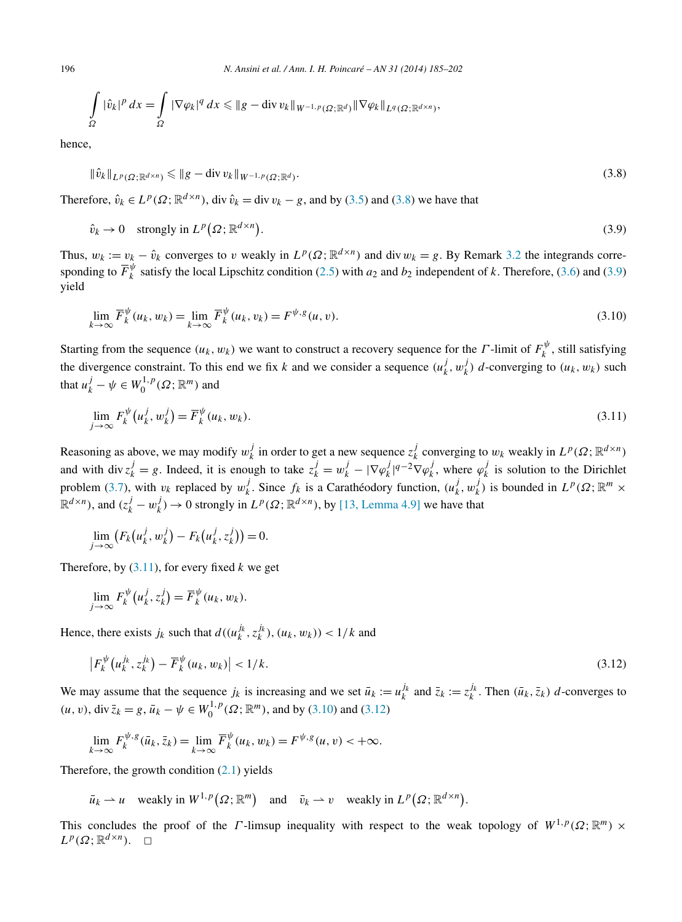$$
\int_{\Omega} |\hat{v}_k|^p dx = \int_{\Omega} |\nabla \varphi_k|^q dx \leqslant \|g - \operatorname{div} v_k\|_{W^{-1,p}(\Omega; \mathbb{R}^d)} \|\nabla \varphi_k\|_{L^q(\Omega; \mathbb{R}^{d \times n})},
$$

hence,

$$
\|\hat{v}_k\|_{L^p(\Omega;\mathbb{R}^{d\times n})} \leqslant \|g - \operatorname{div} v_k\|_{W^{-1,p}(\Omega;\mathbb{R}^d)}.
$$
\n(3.8)

Therefore,  $\hat{v}_k \in L^p(\Omega; \mathbb{R}^{d \times n})$ , div  $\hat{v}_k = \text{div } v_k - g$ , and by [\(3.5\)](#page-10-0) and (3.8) we have that

$$
\hat{v}_k \to 0 \quad \text{strongly in } L^p(\Omega; \mathbb{R}^{d \times n}). \tag{3.9}
$$

Thus,  $w_k := v_k - \hat{v}_k$  converges to *v* weakly in  $L^p(\Omega; \mathbb{R}^{d \times n})$  and div  $w_k = g$ . By Remark [3.2](#page-10-0) the integrands corresponding to  $\overline{F}_k^{\psi}$  satisfy the local Lipschitz condition [\(2.5\)](#page-3-0) with  $a_2$  and  $b_2$  independent of *k*. Therefore, [\(3.6\)](#page-10-0) and (3.9) yield

$$
\lim_{k \to \infty} \overline{F}_k^{\psi}(u_k, w_k) = \lim_{k \to \infty} \overline{F}_k^{\psi}(u_k, v_k) = F^{\psi, g}(u, v).
$$
\n(3.10)

Starting from the sequence  $(u_k, w_k)$  we want to construct a recovery sequence for the *Γ*-limit of  $F_k^{\psi}$ , still satisfying the divergence constraint. To this end we fix *k* and we consider a sequence  $(u_k^j, w_k^j)$  *d*-converging to  $(u_k, w_k)$  such that  $u_k^j - \psi \in W_0^{1,p}(\Omega; \mathbb{R}^m)$  and

$$
\lim_{j \to \infty} F_k^{\psi}(u_k^j, w_k^j) = \overline{F}_k^{\psi}(u_k, w_k). \tag{3.11}
$$

Reasoning as above, we may modify  $w_k^j$  in order to get a new sequence  $z_k^j$  converging to  $w_k$  weakly in  $L^p(\Omega; \mathbb{R}^{d \times n})$ and with div  $z_k^j = g$ . Indeed, it is enough to take  $z_k^j = w_k^j - |\nabla \varphi_k^j|^{q-2} \nabla \varphi_k^j$ , where  $\varphi_k^j$  is solution to the Dirichlet problem [\(3.7\)](#page-10-0), with  $v_k$  replaced by  $w_k^j$ . Since  $f_k$  is a Carathéodory function,  $(u_k^j, w_k^j)$  is bounded in  $L^p(\Omega; \mathbb{R}^m \times$  $\mathbb{R}^{d \times n}$ ), and  $(z_k^j - w_k^j) \to 0$  strongly in  $L^p(\Omega; \mathbb{R}^{d \times n})$ , by [\[13, Lemma 4.9\]](#page-17-0) we have that

$$
\lim_{j\to\infty}\bigl(F_k\bigl(u_k^j,w_k^j\bigr)-F_k\bigl(u_k^j,z_k^j\bigr)\bigr)=0.
$$

Therefore, by (3.11), for every fixed *k* we get

$$
\lim_{j\to\infty} F_k^{\psi}(u_k^j, z_k^j) = \overline{F}_k^{\psi}(u_k, w_k).
$$

Hence, there exists  $j_k$  such that  $d((u_k^{j_k}, z_k^{j_k}), (u_k, w_k)) < 1/k$  and

$$
\left| F_k^{\psi}\left(u_k^{j_k}, z_k^{j_k}\right) - \overline{F}_k^{\psi}\left(u_k, w_k\right) \right| < 1/k. \tag{3.12}
$$

We may assume that the sequence  $j_k$  is increasing and we set  $\bar{u}_k := u_k^{j_k}$  and  $\bar{z}_k := z_k^{j_k}$ . Then  $(\bar{u}_k, \bar{z}_k)$  *d*-converges to  $(u, v)$ , div  $\bar{z}_k = g$ ,  $\bar{u}_k - \psi \in W_0^{1, p}(\Omega; \mathbb{R}^m)$ , and by (3.10) and (3.12)

$$
\lim_{k \to \infty} F_k^{\psi, g}(\bar{u}_k, \bar{z}_k) = \lim_{k \to \infty} \overline{F}_k^{\psi}(u_k, w_k) = F^{\psi, g}(u, v) < +\infty.
$$

Therefore, the growth condition  $(2.1)$  yields

 $\bar{u}_k \rightharpoonup u$  weakly in  $W^{1,p}(\Omega; \mathbb{R}^m)$  and  $\bar{v}_k \rightharpoonup v$  weakly in  $L^p(\Omega; \mathbb{R}^{d \times n})$ .

This concludes the proof of the *Γ*-limsup inequality with respect to the weak topology of  $W^{1,p}(\Omega;\mathbb{R}^m) \times$  $L^p(\Omega;\mathbb{R}^{d\times n})$ .  $\Box$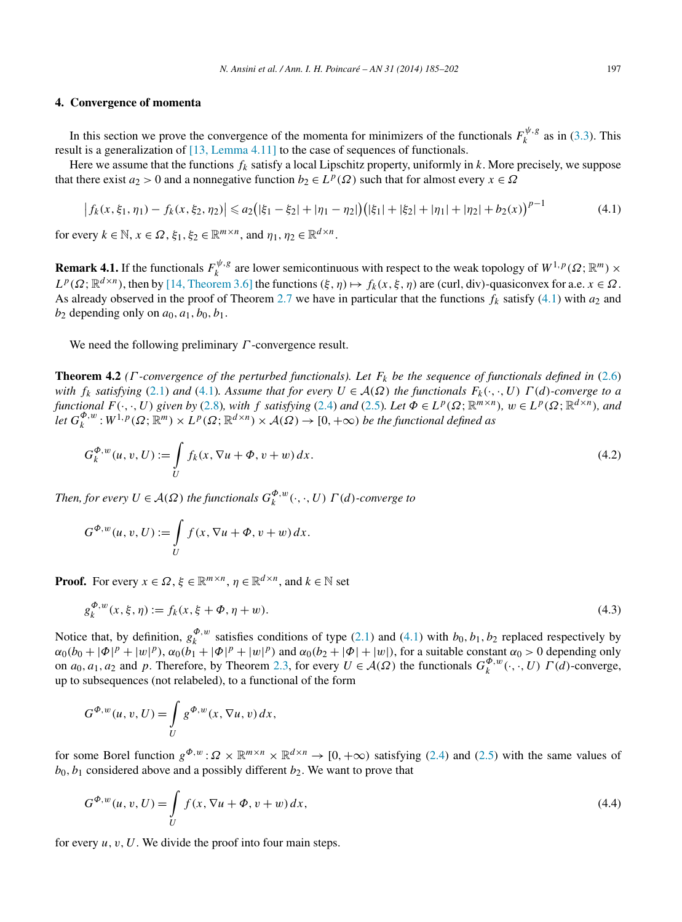## <span id="page-12-0"></span>**4. Convergence of momenta**

In this section we prove the convergence of the momenta for minimizers of the functionals  $F_k^{\psi, g}$  as in [\(3.3\)](#page-10-0). This result is a generalization of [\[13, Lemma 4.11\]](#page-17-0) to the case of sequences of functionals.

Here we assume that the functions *fk* satisfy a local Lipschitz property, uniformly in *k*. More precisely, we suppose that there exist  $a_2 > 0$  and a nonnegative function  $b_2 \in L^p(\Omega)$  such that for almost every  $x \in \Omega$ 

$$
\left| f_k(x,\xi_1,\eta_1) - f_k(x,\xi_2,\eta_2) \right| \leq a_2 \left( |\xi_1 - \xi_2| + |\eta_1 - \eta_2| \right) \left( |\xi_1| + |\xi_2| + |\eta_1| + |\eta_2| + b_2(x) \right)^{p-1} \tag{4.1}
$$

for every  $k \in \mathbb{N}$ ,  $x \in \Omega$ ,  $\xi_1, \xi_2 \in \mathbb{R}^{m \times n}$ , and  $\eta_1, \eta_2 \in \mathbb{R}^{d \times n}$ .

**Remark 4.1.** If the functionals  $F_k^{\psi, g}$  are lower semicontinuous with respect to the weak topology of  $W^{1,p}(\Omega; \mathbb{R}^m) \times$  $L^p(\Omega; \mathbb{R}^{d \times n})$ , then by [\[14, Theorem 3.6\]](#page-17-0) the functions  $(\xi, \eta) \mapsto f_k(x, \xi, \eta)$  are *(curl, div)*-quasiconvex for a.e.  $x \in \Omega$ . As already observed in the proof of Theorem [2.7](#page-7-0) we have in particular that the functions  $f_k$  satisfy (4.1) with  $a_2$  and  $b_2$  depending only on  $a_0$ ,  $a_1$ ,  $b_0$ ,  $b_1$ .

We need the following preliminary *Γ* -convergence result.

**Theorem 4.2** *(Γ -convergence of the perturbed functionals). Let Fk be the sequence of functionals defined in* [\(2.6\)](#page-3-0) *with*  $f_k$  *satisfying* [\(2.1\)](#page-2-0) *and* (4.1)*. Assume that for every*  $U \in \mathcal{A}(\Omega)$  *the functionals*  $F_k(\cdot, \cdot, U) \Gamma(d)$ *-converge to a* functional  $F(\cdot, \cdot, U)$  given by [\(2.8\)](#page-3-0), with f satisfying [\(2.4\)](#page-3-0) and [\(2.5\)](#page-3-0). Let  $\Phi \in L^p(\Omega; \mathbb{R}^{m \times n})$ ,  $w \in L^p(\Omega; \mathbb{R}^{d \times n})$ , and  $let G_k^{\Phi,w}: W^{1,p}(\Omega;\mathbb{R}^m) \times L^p(\Omega;\mathbb{R}^{d \times n}) \times A(\Omega) \to [0,+\infty)$  *be the functional defined as* 

$$
G_k^{\Phi, w}(u, v, U) := \int_{U} f_k(x, \nabla u + \Phi, v + w) dx.
$$
 (4.2)

*Then, for every*  $U \in \mathcal{A}(\Omega)$  *the functionals*  $G_k^{\Phi,w}(\cdot,\cdot,U)$   $\Gamma(d)$ *-converge to* 

$$
G^{\Phi,w}(u,v,U) := \int\limits_U f(x,\nabla u + \Phi, v + w) dx.
$$

**Proof.** For every  $x \in \Omega$ ,  $\xi \in \mathbb{R}^{m \times n}$ ,  $\eta \in \mathbb{R}^{d \times n}$ , and  $k \in \mathbb{N}$  set

$$
g_k^{\Phi, w}(x, \xi, \eta) := f_k(x, \xi + \Phi, \eta + w).
$$
\n(4.3)

Notice that, by definition,  $g_k^{\phi,w}$  satisfies conditions of type [\(2.1\)](#page-2-0) and (4.1) with  $b_0, b_1, b_2$  replaced respectively by  $\alpha_0(b_0+|\Phi|^p+|w|^p)$ ,  $\alpha_0(b_1+|\Phi|^p+|w|^p)$  and  $\alpha_0(b_2+|\Phi|+|w|)$ , for a suitable constant  $\alpha_0>0$  depending only on  $a_0, a_1, a_2$  and  $p$ . Therefore, by Theorem [2.3,](#page-3-0) for every  $U \in \mathcal{A}(\Omega)$  the functionals  $G_k^{\phi,w}(\cdot, \cdot, U)$   $\Gamma(d)$ -converge, up to subsequences (not relabeled), to a functional of the form

$$
G^{\Phi,w}(u,v,U) = \int\limits_{U} g^{\Phi,w}(x,\nabla u,v) dx,
$$

for some Borel function  $g^{\Phi, w}: \Omega \times \mathbb{R}^{m \times n} \times \mathbb{R}^{d \times n} \to [0, +\infty)$  satisfying [\(2.4\)](#page-3-0) and [\(2.5\)](#page-3-0) with the same values of  $b_0$ ,  $b_1$  considered above and a possibly different  $b_2$ . We want to prove that

$$
G^{\Phi,w}(u,v,U) = \int_{U} f(x, \nabla u + \Phi, v + w) dx,
$$
\n(4.4)

for every  $u, v, U$ . We divide the proof into four main steps.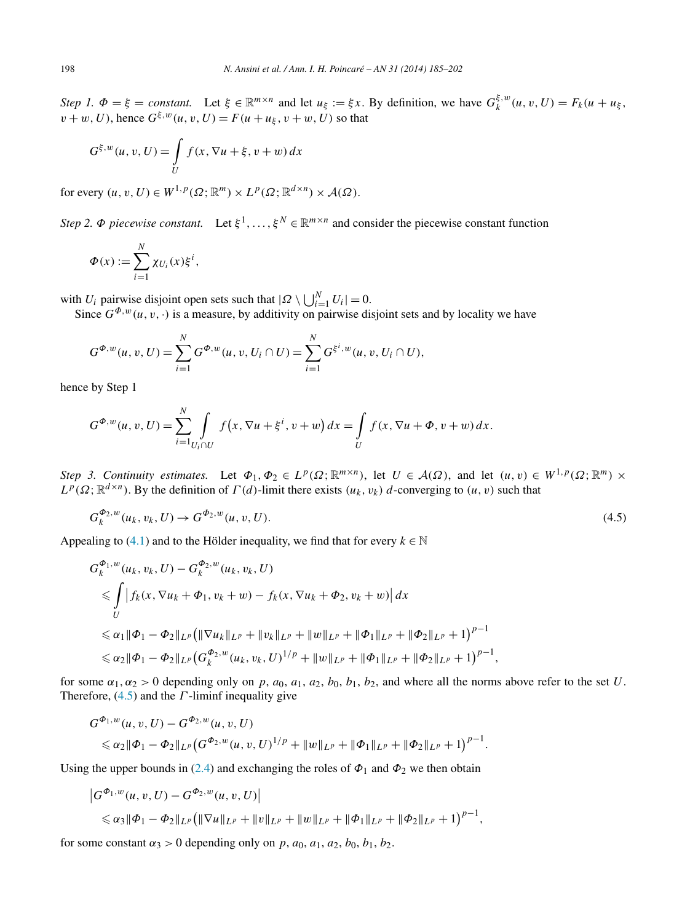*Step 1.*  $\Phi = \xi = constant$ . Let  $\xi \in \mathbb{R}^{m \times n}$  and let  $u_{\xi} := \xi x$ . By definition, we have  $G_k^{\xi, w}(u, v, U) = F_k(u + u_{\xi}, \xi)$  $v + w$ , *U*), hence  $G^{\xi, w}(u, v, U) = F(u + u_{\xi}, v + w, U)$  so that

$$
G^{\xi,w}(u,v,U) = \int\limits_U f(x,\nabla u + \xi, v + w) dx
$$

for every  $(u, v, U) \in W^{1, p}(\Omega; \mathbb{R}^m) \times L^p(\Omega; \mathbb{R}^{d \times n}) \times \mathcal{A}(\Omega)$ .

*Step 2. Φ piecewise constant.* Let  $\xi^1, \ldots, \xi^N \in \mathbb{R}^{m \times n}$  and consider the piecewise constant function

$$
\Phi(x) := \sum_{i=1}^N \chi_{U_i}(x) \xi^i,
$$

with *U<sub>i</sub>* pairwise disjoint open sets such that  $|Q \setminus \bigcup_{i=1}^{N} U_i| = 0$ .

Since  $G^{\Phi,w}(u,v,\cdot)$  is a measure, by additivity on pairwise disjoint sets and by locality we have

$$
G^{\Phi,w}(u,v,U) = \sum_{i=1}^{N} G^{\Phi,w}(u,v,U_i \cap U) = \sum_{i=1}^{N} G^{\xi^i,w}(u,v,U_i \cap U),
$$

hence by Step 1

$$
G^{\Phi,w}(u,v,U) = \sum_{i=1}^{N} \int_{U_i \cap U} f(x, \nabla u + \xi^i, v + w) dx = \int_{U} f(x, \nabla u + \Phi, v + w) dx.
$$

*Step 3. Continuity estimates.* Let  $\Phi_1, \Phi_2 \in L^p(\Omega; \mathbb{R}^{m \times n})$ , let  $U \in \mathcal{A}(\Omega)$ , and let  $(u, v) \in W^{1, p}(\Omega; \mathbb{R}^m) \times$  $L^p(\Omega;\mathbb{R}^{d \times n})$ . By the definition of  $\Gamma(d)$ -limit there exists  $(u_k, v_k)$  d-converging to  $(u, v)$  such that

$$
G_k^{\Phi_2, w}(u_k, v_k, U) \to G^{\Phi_2, w}(u, v, U). \tag{4.5}
$$

Appealing to [\(4.1\)](#page-12-0) and to the Hölder inequality, we find that for every  $k \in \mathbb{N}$ 

$$
G_{k}^{\Phi_{1},w}(u_{k},v_{k},U) - G_{k}^{\Phi_{2},w}(u_{k},v_{k},U)
$$
  
\n
$$
\leq \int_{U} |f_{k}(x,\nabla u_{k} + \Phi_{1},v_{k} + w) - f_{k}(x,\nabla u_{k} + \Phi_{2},v_{k} + w)| dx
$$
  
\n
$$
\leq \alpha_{1} \|\Phi_{1} - \Phi_{2}\|_{L^{p}} \left( \|\nabla u_{k}\|_{L^{p}} + \|v_{k}\|_{L^{p}} + \|w\|_{L^{p}} + \|\Phi_{1}\|_{L^{p}} + \|\Phi_{2}\|_{L^{p}} + 1 \right)^{p-1}
$$
  
\n
$$
\leq \alpha_{2} \|\Phi_{1} - \Phi_{2}\|_{L^{p}} \left( G_{k}^{\Phi_{2},w}(u_{k},v_{k},U)^{1/p} + \|w\|_{L^{p}} + \|\Phi_{1}\|_{L^{p}} + \|\Phi_{2}\|_{L^{p}} + 1 \right)^{p-1},
$$

for some  $\alpha_1, \alpha_2 > 0$  depending only on p,  $a_0, a_1, a_2, b_0, b_1, b_2$ , and where all the norms above refer to the set U. Therefore, (4.5) and the *Γ* -liminf inequality give

$$
G^{\Phi_1,w}(u,v,U)-G^{\Phi_2,w}(u,v,U)
$$
  
\$\leq \alpha\_2 \|\Phi\_1 - \Phi\_2\|\_{L^p} (G^{\Phi\_2,w}(u,v,U)^{1/p} + \|w\|\_{L^p} + \|\Phi\_1\|\_{L^p} + \|\Phi\_2\|\_{L^p} + 1)^{p-1}.

Using the upper bounds in [\(2.4\)](#page-3-0) and exchanging the roles of  $\Phi_1$  and  $\Phi_2$  we then obtain

$$
\begin{aligned} \left| G^{\Phi_1,w}(u,v,U) - G^{\Phi_2,w}(u,v,U) \right| \\ &\leq \alpha_3 \|\Phi_1 - \Phi_2\|_{L^p} \big( \|\nabla u\|_{L^p} + \|v\|_{L^p} + \|w\|_{L^p} + \|\Phi_1\|_{L^p} + \|\Phi_2\|_{L^p} + 1 \big)^{p-1}, \end{aligned}
$$

for some constant  $\alpha_3 > 0$  depending only on p,  $a_0$ ,  $a_1$ ,  $a_2$ ,  $b_0$ ,  $b_1$ ,  $b_2$ .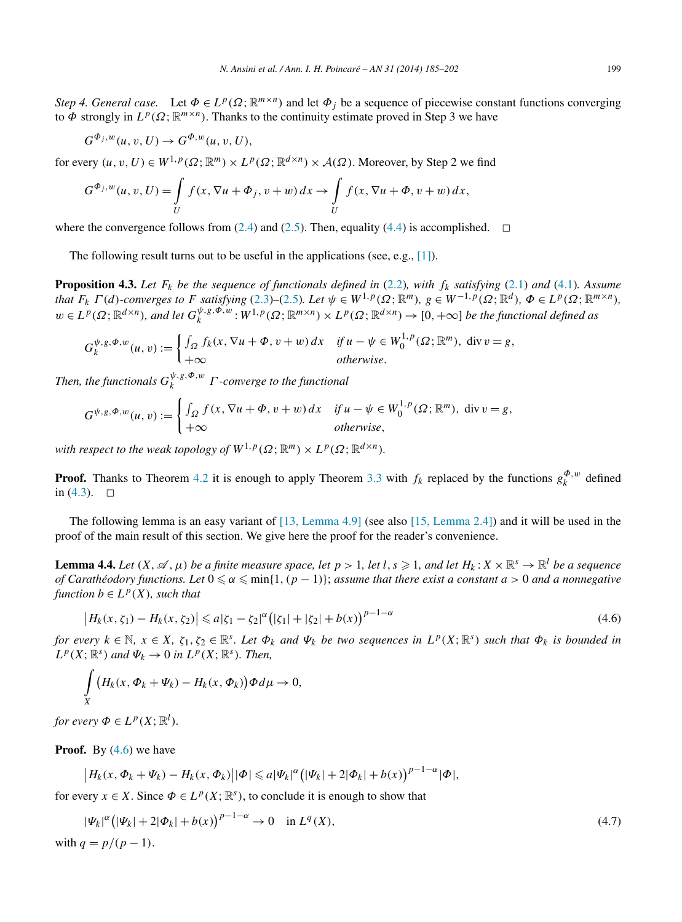<span id="page-14-0"></span>*Step 4. General case.* Let  $\Phi \in L^p(\Omega; \mathbb{R}^{m \times n})$  and let  $\Phi_i$  be a sequence of piecewise constant functions converging to  $\Phi$  strongly in  $L^p(\Omega;\mathbb{R}^{m \times n})$ . Thanks to the continuity estimate proved in Step 3 we have

$$
G^{\Phi_j, w}(u, v, U) \to G^{\Phi, w}(u, v, U),
$$

for every  $(u, v, U) \in W^{1, p}(\Omega; \mathbb{R}^m) \times L^p(\Omega; \mathbb{R}^{d \times n}) \times A(\Omega)$ . Moreover, by Step 2 we find

$$
G^{\Phi_j, w}(u, v, U) = \int\limits_U f(x, \nabla u + \Phi_j, v + w) dx \to \int\limits_U f(x, \nabla u + \Phi, v + w) dx,
$$

where the convergence follows from [\(2.4\)](#page-3-0) and [\(2.5\)](#page-3-0). Then, equality [\(4.4\)](#page-12-0) is accomplished.  $\Box$ 

The following result turns out to be useful in the applications (see, e.g., [\[1\]\)](#page-16-0).

**Proposition 4.3.** Let  $F_k$  be the sequence of functionals defined in [\(2.2\)](#page-2-0), with  $f_k$  satisfying [\(2.1\)](#page-2-0) and [\(4.1\)](#page-12-0)*.* Assume that  $F_k \Gamma(d)$ -converges to F satisfying [\(2.3\)](#page-2-0)-[\(2.5\)](#page-3-0). Let  $\psi \in W^{1,p}(\Omega; \mathbb{R}^m)$ ,  $g \in W^{-1,p}(\Omega; \mathbb{R}^d)$ ,  $\Phi \in L^p(\Omega; \mathbb{R}^{m \times n})$ ,  $w \in L^p(\Omega; \mathbb{R}^{d \times n})$ , and let  $G_k^{\psi, g, \Phi, w}: W^{1,p}(\Omega; \mathbb{R}^{m \times n}) \times L^p(\Omega; \mathbb{R}^{d \times n}) \to [0, +\infty]$  be the functional defined as

$$
G_k^{\psi, g, \Phi, w}(u, v) := \begin{cases} \int_{\Omega} f_k(x, \nabla u + \Phi, v + w) dx & \text{if } u - \psi \in W_0^{1, p}(\Omega; \mathbb{R}^m), \text{ div } v = g, \\ +\infty & \text{otherwise.} \end{cases}
$$

*Then, the functionals*  $G_k^{\psi, g, \Phi, w}$  *Γ -converge to the functional* 

$$
G^{\psi,g,\Phi,w}(u,v) := \begin{cases} \int_{\Omega} f(x, \nabla u + \Phi, v + w) dx & \text{if } u - \psi \in W_0^{1,p}(\Omega; \mathbb{R}^m), \text{ div } v = g, \\ +\infty & \text{otherwise,} \end{cases}
$$

*with respect to the weak topology of*  $W^{1,p}(\Omega;\mathbb{R}^m) \times L^p(\Omega;\mathbb{R}^{d \times n})$ .

**Proof.** Thanks to Theorem [4.2](#page-12-0) it is enough to apply Theorem [3.3](#page-10-0) with  $f_k$  replaced by the functions  $g_k^{\Phi,w}$  defined in  $(4.3)$ .  $\Box$ 

The following lemma is an easy variant of [13, [Lemma 4.9\]](#page-17-0) (see also [\[15, Lemma 2.4\]\)](#page-17-0) and it will be used in the proof of the main result of this section. We give here the proof for the reader's convenience.

**Lemma 4.4.** *Let*  $(X, \mathscr{A}, \mu)$  *be a finite measure space, let*  $p > 1$ *, let*  $l, s \ge 1$ *, and let*  $H_k: X \times \mathbb{R}^s \to \mathbb{R}^l$  *be a sequence of Carathéodory functions. Let* 0 ≤ α ≤ min{1, (*p* − 1)}; *assume that there exist a constant a >* 0 *and a nonnegative function*  $b \in L^p(X)$ *, such that* 

$$
\left|H_k(x,\zeta_1) - H_k(x,\zeta_2)\right| \leq a|\zeta_1 - \zeta_2|^{\alpha} \left(|\zeta_1| + |\zeta_2| + b(x)\right)^{p-1-\alpha} \tag{4.6}
$$

for every  $k \in \mathbb{N}$ ,  $x \in X$ ,  $\zeta_1, \zeta_2 \in \mathbb{R}^s$ . Let  $\Phi_k$  and  $\Psi_k$  be two sequences in  $L^p(X; \mathbb{R}^s)$  such that  $\Phi_k$  is bounded in  $L^p(X; \mathbb{R}^s)$  *and*  $\Psi_k \to 0$  *in*  $L^p(X; \mathbb{R}^s)$ *. Then,* 

$$
\int\limits_X \big(H_k(x,\Phi_k+\Psi_k)-H_k(x,\Phi_k)\big)\Phi d\mu\to 0,
$$

*for every*  $\Phi \in L^p(X; \mathbb{R}^l)$ *.* 

**Proof.** By (4.6) we have

 $\left| H_k(x, \Phi_k + \Psi_k) - H_k(x, \Phi_k) \right| |\Phi| \leq a |\Psi_k|^{\alpha} (|\Psi_k| + 2|\Phi_k| + b(x))^{p-1-\alpha} |\Phi|,$ 

for every  $x \in X$ . Since  $\Phi \in L^p(X; \mathbb{R}^s)$ , to conclude it is enough to show that

$$
|\Psi_k|^{\alpha} (|\Psi_k| + 2|\Phi_k| + b(x))^{p-1-\alpha} \to 0 \quad \text{in } L^q(X),
$$
  
with  $q = p/(p-1).$  (4.7)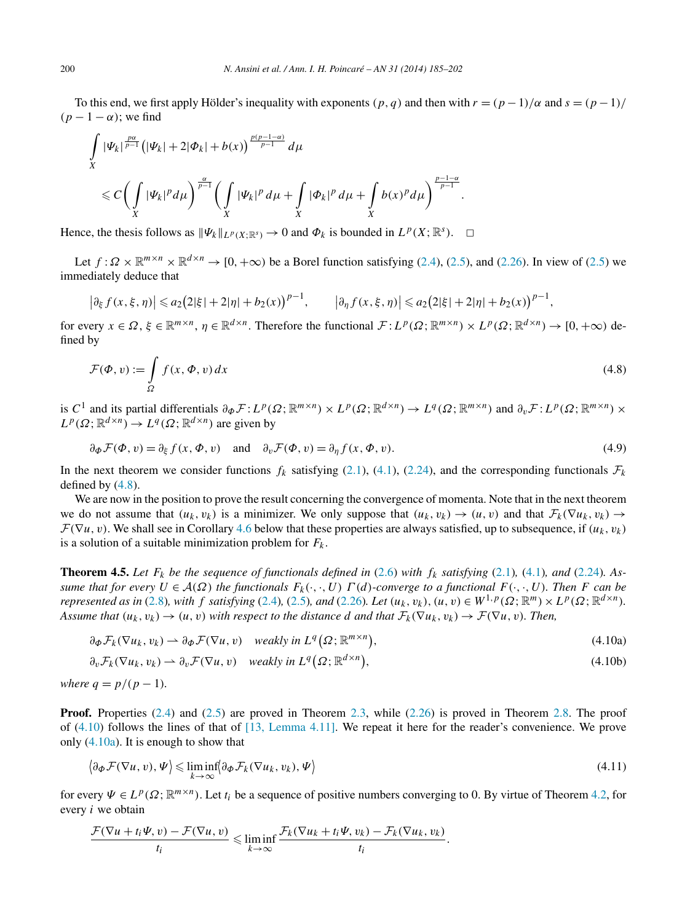<span id="page-15-0"></span>To this end, we first apply Hölder's inequality with exponents  $(p, q)$  and then with  $r = (p - 1)/\alpha$  and  $s = (p - 1)/\alpha$  $(p-1-\alpha)$ ; we find

$$
\int_{X} |\Psi_k|^{\frac{p\alpha}{p-1}} \left( |\Psi_k| + 2|\Phi_k| + b(x) \right)^{\frac{p(p-1-\alpha)}{p-1}} d\mu
$$
\n
$$
\leq C \bigg( \int_{X} |\Psi_k|^p d\mu \bigg)^{\frac{\alpha}{p-1}} \bigg( \int_{X} |\Psi_k|^p d\mu + \int_{X} |\Phi_k|^p d\mu + \int_{X} b(x)^p d\mu \bigg)^{\frac{p-1-\alpha}{p-1}}
$$

Hence, the thesis follows as  $\|\Psi_k\|_{L^p(X;\mathbb{R}^s)} \to 0$  and  $\Phi_k$  is bounded in  $L^p(X;\mathbb{R}^s)$ .  $\Box$ 

Let  $f: \Omega \times \mathbb{R}^{m \times n} \times \mathbb{R}^{d \times n} \to [0, +\infty)$  be a Borel function satisfying [\(2.4\)](#page-3-0), [\(2.5\)](#page-3-0), and [\(2.26\)](#page-8-0). In view of (2.5) we immediately deduce that

*.*

$$
\left|\partial_{\xi} f(x,\xi,\eta)\right| \leq a_2 \big(2|\xi| + 2|\eta| + b_2(x)\big)^{p-1}, \qquad \left|\partial_{\eta} f(x,\xi,\eta)\right| \leq a_2 \big(2|\xi| + 2|\eta| + b_2(x)\big)^{p-1},
$$

for every  $x \in \Omega$ ,  $\xi \in \mathbb{R}^{m \times n}$ ,  $\eta \in \mathbb{R}^{d \times n}$ . Therefore the functional  $\mathcal{F}: L^p(\Omega; \mathbb{R}^{m \times n}) \times L^p(\Omega; \mathbb{R}^{d \times n}) \to [0, +\infty)$  defined by

$$
\mathcal{F}(\Phi, v) := \int_{\Omega} f(x, \Phi, v) dx
$$
\n(4.8)

is  $C^1$  and its partial differentials  $\partial_{\Phi} \mathcal{F}: L^p(\Omega; \mathbb{R}^{m \times n}) \times L^p(\Omega; \mathbb{R}^{d \times n}) \to L^q(\Omega; \mathbb{R}^{m \times n})$  and  $\partial_v \mathcal{F}: L^p(\Omega; \mathbb{R}^{m \times n}) \times L^p(\Omega; \mathbb{R}^{m \times n})$  $L^p(\Omega;\mathbb{R}^{d\times n}) \to L^q(\Omega;\mathbb{R}^{d\times n})$  are given by

$$
\partial_{\Phi} \mathcal{F}(\Phi, v) = \partial_{\xi} f(x, \Phi, v) \quad \text{and} \quad \partial_{v} \mathcal{F}(\Phi, v) = \partial_{\eta} f(x, \Phi, v). \tag{4.9}
$$

In the next theorem we consider functions  $f_k$  satisfying [\(2.1\)](#page-2-0), [\(4.1\)](#page-12-0), [\(2.24\)](#page-8-0), and the corresponding functionals  $\mathcal{F}_k$ defined by (4.8).

We are now in the position to prove the result concerning the convergence of momenta. Note that in the next theorem we do not assume that  $(u_k, v_k)$  is a minimizer. We only suppose that  $(u_k, v_k) \to (u, v)$  and that  $\mathcal{F}_k(\nabla u_k, v_k) \to$  $\mathcal{F}(\nabla u, v)$ . We shall see in Corollary [4.6](#page-16-0) below that these properties are always satisfied, up to subsequence, if  $(u_k, v_k)$ is a solution of a suitable minimization problem for  $F_k$ .

**Theorem 4.5.** Let  $F_k$  be the sequence of functionals defined in [\(2.6\)](#page-3-0) with  $f_k$  satisfying [\(2.1\)](#page-2-0), [\(4.1\)](#page-12-0)*, and* (2.24*)*. As*sume that for every*  $U \in \mathcal{A}(\Omega)$  *the functionals*  $F_k(\cdot, \cdot, U) \Gamma(d)$ *-converge to a functional*  $F(\cdot, \cdot, U)$ *. Then F can be represented as in* [\(2.8\)](#page-3-0)*, with f satisfying* [\(2.4\)](#page-3-0)*,* [\(2.5\)](#page-3-0)*, and* [\(2.26\)](#page-8-0)*. Let*  $(u_k, v_k)$ *,*  $(u, v) \in W^{1,p}(\Omega; \mathbb{R}^m) \times L^p(\Omega; \mathbb{R}^{d \times n})$ *. Assume that*  $(u_k, v_k) \to (u, v)$  *with respect to the distance d and that*  $\mathcal{F}_k(\nabla u_k, v_k) \to \mathcal{F}(\nabla u, v)$ *. Then,* 

$$
\partial_{\Phi} \mathcal{F}_k(\nabla u_k, v_k) \rightharpoonup \partial_{\Phi} \mathcal{F}(\nabla u, v) \quad weakly in \ L^q(\Omega; \ \mathbb{R}^{m \times n}), \tag{4.10a}
$$

$$
\partial_v \mathcal{F}_k(\nabla u_k, v_k) \rightharpoonup \partial_v \mathcal{F}(\nabla u, v) \quad weakly in \ L^q(\Omega; \mathbb{R}^{d \times n}), \tag{4.10b}
$$

*where*  $q = p/(p - 1)$ *.* 

**Proof.** Properties [\(2.4\)](#page-3-0) and [\(2.5\)](#page-3-0) are proved in Theorem [2.3,](#page-3-0) while [\(2.26\)](#page-8-0) is proved in Theorem [2.8.](#page-8-0) The proof of (4.10) follows the lines of that of [\[13, Lemma 4.11\].](#page-17-0) We repeat it here for the reader's convenience. We prove only (4.10a). It is enough to show that

$$
\left\langle \partial_{\boldsymbol{\Phi}} \mathcal{F}(\nabla u, v), \boldsymbol{\Psi} \right\rangle \leqslant \liminf_{k \to \infty} \left\langle \partial_{\boldsymbol{\Phi}} \mathcal{F}_k(\nabla u_k, v_k), \boldsymbol{\Psi} \right\rangle \tag{4.11}
$$

for every  $\Psi \in L^p(\Omega; \mathbb{R}^{m \times n})$ . Let  $t_i$  be a sequence of positive numbers converging to 0. By virtue of Theorem [4.2,](#page-12-0) for every *i* we obtain

$$
\frac{\mathcal{F}(\nabla u+t_i\Psi,v)-\mathcal{F}(\nabla u,v)}{t_i}\leqslant \liminf_{k\to\infty}\frac{\mathcal{F}_k(\nabla u_k+t_i\Psi,v_k)-\mathcal{F}_k(\nabla u_k,v_k)}{t_i}.
$$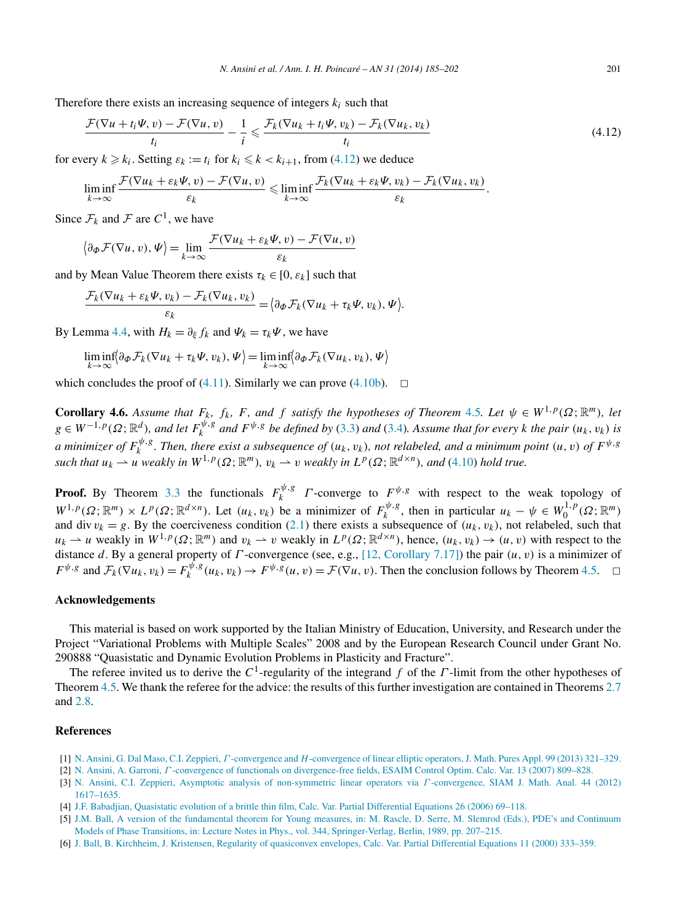<span id="page-16-0"></span>Therefore there exists an increasing sequence of integers  $k_i$  such that

$$
\frac{\mathcal{F}(\nabla u + t_i \Psi, v) - \mathcal{F}(\nabla u, v)}{t_i} - \frac{1}{i} \leq \frac{\mathcal{F}_k(\nabla u_k + t_i \Psi, v_k) - \mathcal{F}_k(\nabla u_k, v_k)}{t_i}
$$
\n(4.12)

for every  $k \geq k_i$ . Setting  $\varepsilon_k := t_i$  for  $k_i \leq k \lt k_{i+1}$ , from (4.12) we deduce

$$
\liminf_{k\to\infty}\frac{\mathcal{F}(\nabla u_k+\varepsilon_k\Psi,v)-\mathcal{F}(\nabla u,v)}{\varepsilon_k}\leqslant \liminf_{k\to\infty}\frac{\mathcal{F}_k(\nabla u_k+\varepsilon_k\Psi,v_k)-\mathcal{F}_k(\nabla u_k,v_k)}{\varepsilon_k}.
$$

Since  $\mathcal{F}_k$  and  $\mathcal F$  are  $C^1$ , we have

$$
\left\langle \partial_{\Phi} \mathcal{F}(\nabla u, v), \Psi \right\rangle = \lim_{k \to \infty} \frac{\mathcal{F}(\nabla u_k + \varepsilon_k \Psi, v) - \mathcal{F}(\nabla u, v)}{\varepsilon_k}
$$

and by Mean Value Theorem there exists  $\tau_k \in [0, \varepsilon_k]$  such that

$$
\frac{\mathcal{F}_k(\nabla u_k + \varepsilon_k \Psi, v_k) - \mathcal{F}_k(\nabla u_k, v_k)}{\varepsilon_k} = \big\{\partial_\Phi \mathcal{F}_k(\nabla u_k + \tau_k \Psi, v_k), \Psi\big\}.
$$

By Lemma [4.4,](#page-14-0) with  $H_k = \partial_{\xi} f_k$  and  $\Psi_k = \tau_k \Psi$ , we have

$$
\liminf_{k\to\infty}\langle\partial_{\boldsymbol{\Phi}}\mathcal{F}_k(\nabla u_k+\tau_k\Psi,v_k),\Psi\rangle=\liminf_{k\to\infty}\langle\partial_{\boldsymbol{\Phi}}\mathcal{F}_k(\nabla u_k,v_k),\Psi\rangle
$$

which concludes the proof of [\(4.11\)](#page-15-0). Similarly we can prove [\(4.10b\)](#page-15-0).  $\Box$ 

**Corollary 4.6.** Assume that  $F_k$ ,  $f_k$ ,  $F$ , and  $f$  satisfy the hypotheses of Theorem [4.5](#page-15-0). Let  $\psi \in W^{1,p}(\Omega;\mathbb{R}^m)$ , let  $g \in W^{-1,p}(\Omega;\mathbb{R}^d)$ , and let  $F_k^{\psi,g}$  and  $F^{\psi,g}$  be defined by [\(3.3\)](#page-10-0) and [\(3.4\)](#page-10-0). Assume that for every k the pair  $(u_k, v_k)$  is *a* minimizer of  $F_k^{\psi,g}$ . Then, there exist a subsequence of  $(u_k,v_k)$ , not relabeled, and a minimum point  $(u,v)$  of  $F^{\psi,g}$ *such that*  $u_k \rightharpoonup u$  *weakly in*  $W^{1,p}(\Omega; \mathbb{R}^m)$ *,*  $v_k \rightharpoonup v$  *weakly in*  $L^p(\Omega; \mathbb{R}^{d \times n})$ *, and* [\(4.10\)](#page-15-0) *hold true.* 

**Proof.** By Theorem [3.3](#page-10-0) the functionals  $F_k^{\psi, g}$  *Γ* -converge to  $F_{\psi, g}$  with respect to the weak topology of  $W^{1,p}(\Omega;\mathbb{R}^m) \times L^p(\Omega;\mathbb{R}^{d \times n})$ . Let  $(u_k, v_k)$  be a minimizer of  $F_k^{\psi, g}$ , then in particular  $u_k - \psi \in W_0^{1,p}(\Omega;\mathbb{R}^m)$ and div  $v_k = g$ . By the coerciveness condition [\(2.1\)](#page-2-0) there exists a subsequence of  $(u_k, v_k)$ , not relabeled, such that  $u_k \rightharpoonup u$  weakly in  $W^{1,p}(\Omega; \mathbb{R}^m)$  and  $v_k \rightharpoonup v$  weakly in  $L^p(\Omega; \mathbb{R}^{d \times n})$ , hence,  $(u_k, v_k) \rightharpoonup (u, v)$  with respect to the distance *d*. By a general property of *Γ* -convergence (see, e.g., [\[12, Corollary 7.17\]\)](#page-17-0) the pair *(u,v)* is a minimizer of  $F^{\psi,g}$  and  $\mathcal{F}_k(\nabla u_k, v_k) = F^{\psi,g}_k(u_k, v_k) \to F^{\psi,g}(u, v) = \mathcal{F}(\nabla u, v)$ . Then the conclusion follows by Theorem [4.5.](#page-15-0)  $\Box$ 

#### **Acknowledgements**

This material is based on work supported by the Italian Ministry of Education, University, and Research under the Project "Variational Problems with Multiple Scales" 2008 and by the European Research Council under Grant No. 290888 "Quasistatic and Dynamic Evolution Problems in Plasticity and Fracture".

The referee invited us to derive the *C*1-regularity of the integrand *f* of the *Γ* -limit from the other hypotheses of Theorem [4.5.](#page-15-0) We thank the referee for the advice: the results of this further investigation are contained in Theorems [2.7](#page-7-0) and [2.8.](#page-8-0)

### **References**

- [1] N. Ansini, G. Dal Maso, C.I. Zeppieri, *Γ* -convergence and *H*[-convergence of linear elliptic operators, J. Math. Pures Appl. 99 \(2013\) 321–329.](http://refhub.elsevier.com/S0294-1449(13)00033-4/bib41444D5As1)
- [2] N. Ansini, A. Garroni, *Γ* [-convergence of functionals on divergence-free fields, ESAIM Control Optim. Calc. Var. 13 \(2007\) 809–828.](http://refhub.elsevier.com/S0294-1449(13)00033-4/bib4147s1)
- [3] N. [Ansini, C.I. Zeppieri, Asymptotic analysis of non-symmetric linear operators via](http://refhub.elsevier.com/S0294-1449(13)00033-4/bib415As1) *Γ* -convergence, SIAM J. Math. Anal. 44 (2012) [1617–1635.](http://refhub.elsevier.com/S0294-1449(13)00033-4/bib415As1)
- [4] [J.F. Babadjian, Quasistatic evolution of a brittle thin film, Calc. Var. Partial Differential Equations 26 \(2006\) 69–118.](http://refhub.elsevier.com/S0294-1449(13)00033-4/bib426162s1)
- [5] J.M. [Ball, A version of the fundamental theorem for Young measures, in: M. Rascle, D. Serre, M. Slemrod \(Eds.\), PDE's and Continuum](http://refhub.elsevier.com/S0294-1449(13)00033-4/bib42616C6Cs1) [Models of Phase Transitions, in: Lecture Notes in Phys., vol. 344, Springer-Verlag, Berlin, 1989, pp. 207–215.](http://refhub.elsevier.com/S0294-1449(13)00033-4/bib42616C6Cs1)
- [6] J. [Ball, B. Kirchheim, J. Kristensen, Regularity of quasiconvex envelopes, Calc. Var. Partial Differential Equations 11 \(2000\) 333–359.](http://refhub.elsevier.com/S0294-1449(13)00033-4/bib424B4Bs1)